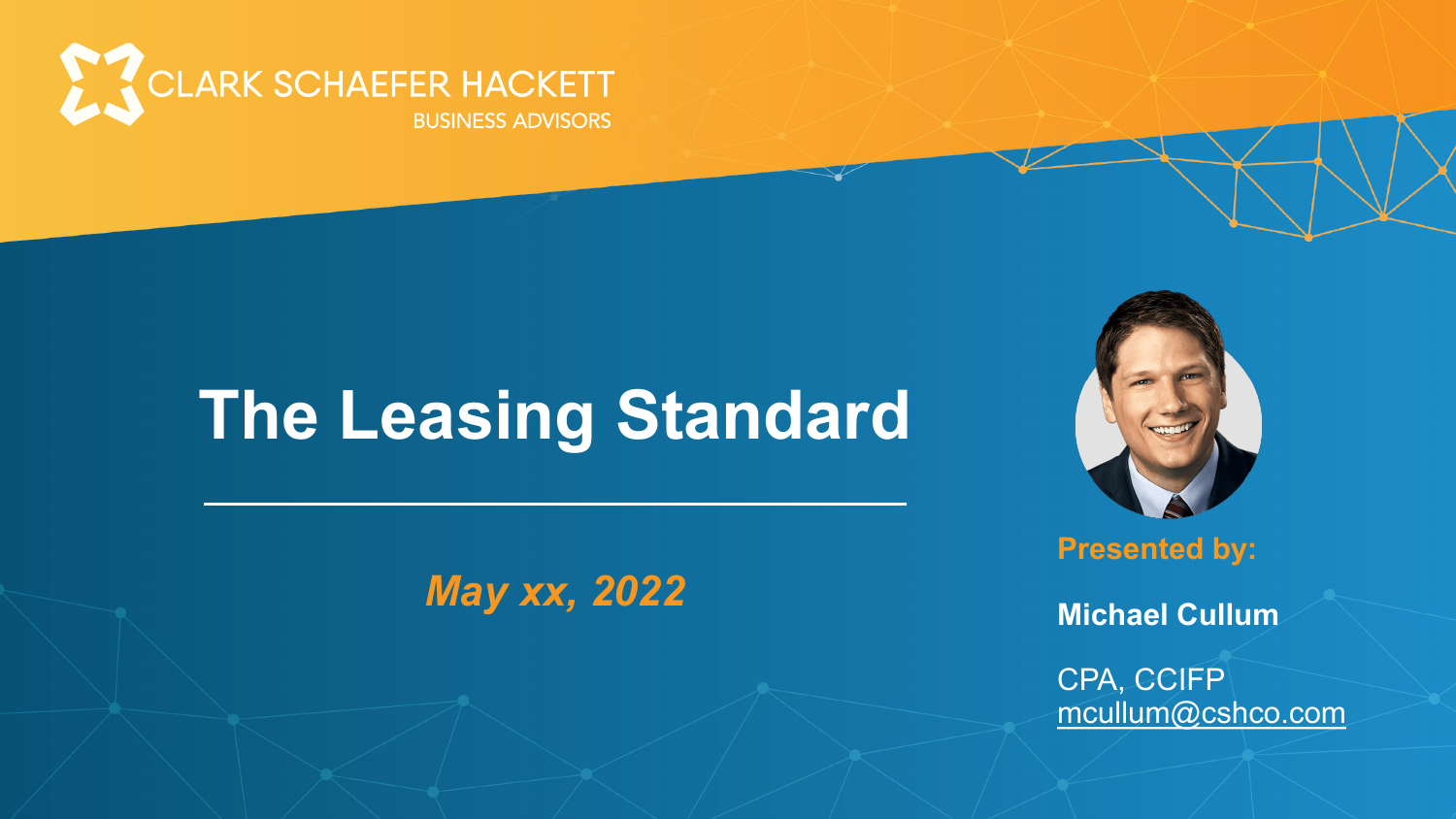

# **The Leasing Standard**

*May xx, 2022*



**Presented by:** 

**Michael Cullum**

CPA, CCIFP mcullum@cshco.com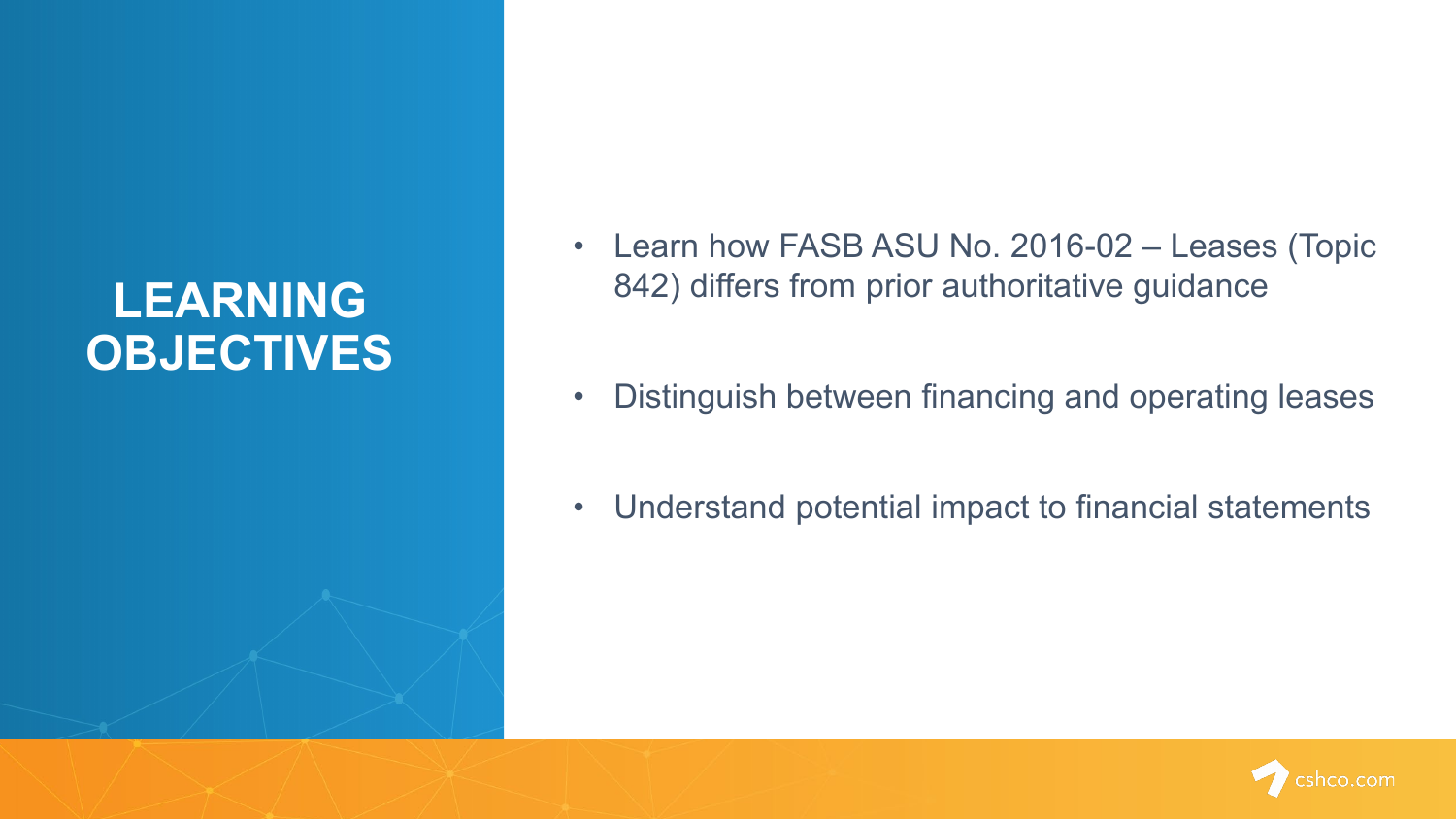## **LEARNING OBJECTIVES**

- Learn how FASB ASU No. 2016-02 Leases (Topic 842) differs from prior authoritative guidance
- Distinguish between financing and operating leases
- Understand potential impact to financial statements

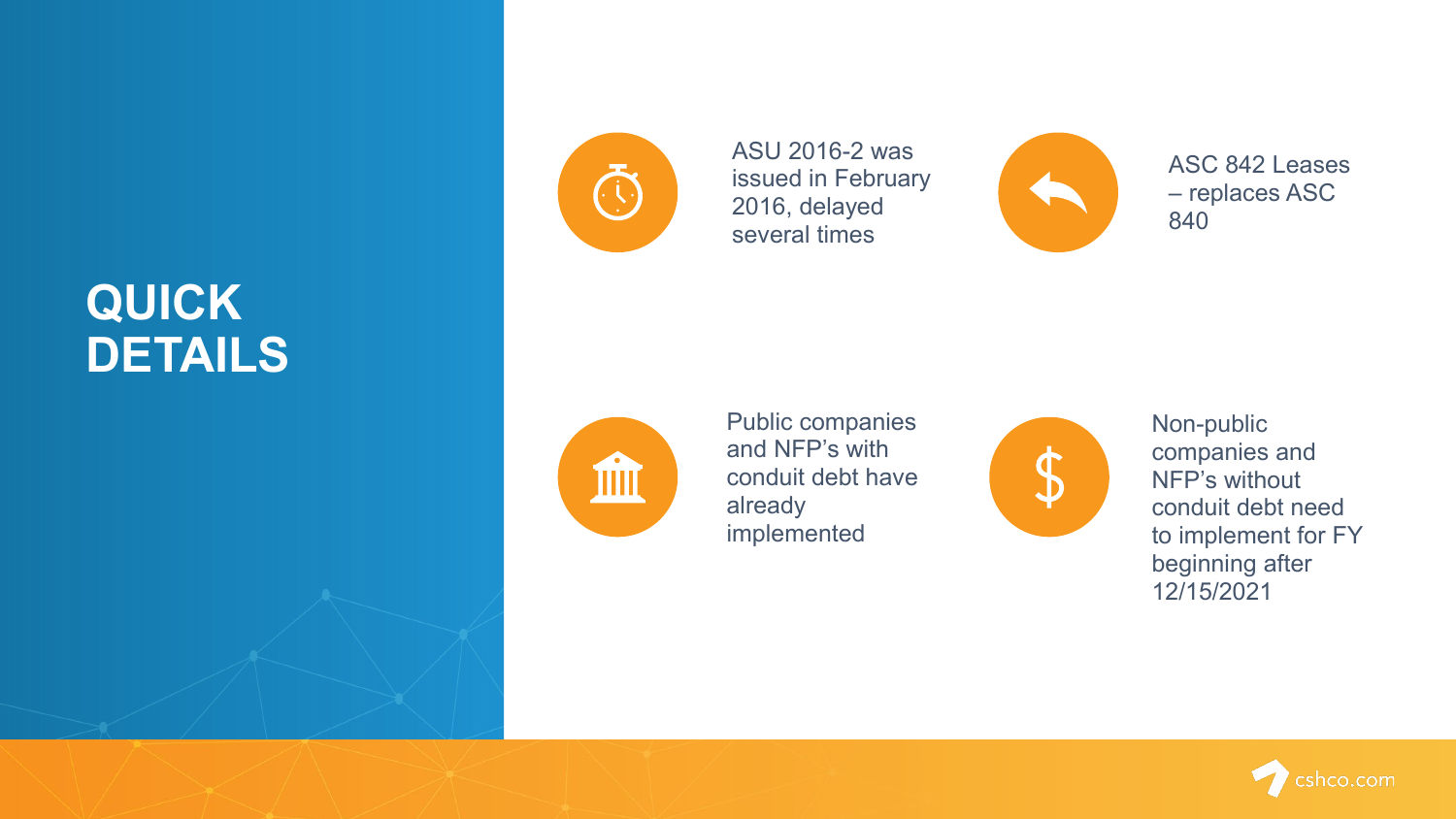## **QUICK DETAILS**



ASU 2016 -2 was issued in February 2016, delayed several times



ASC 842 Leases – replaces ASC 840



Public companies and NFP's with conduit debt have already implemented



Non -public companies and NFP's without conduit debt need to implement for FY beginning after 12/15/2021

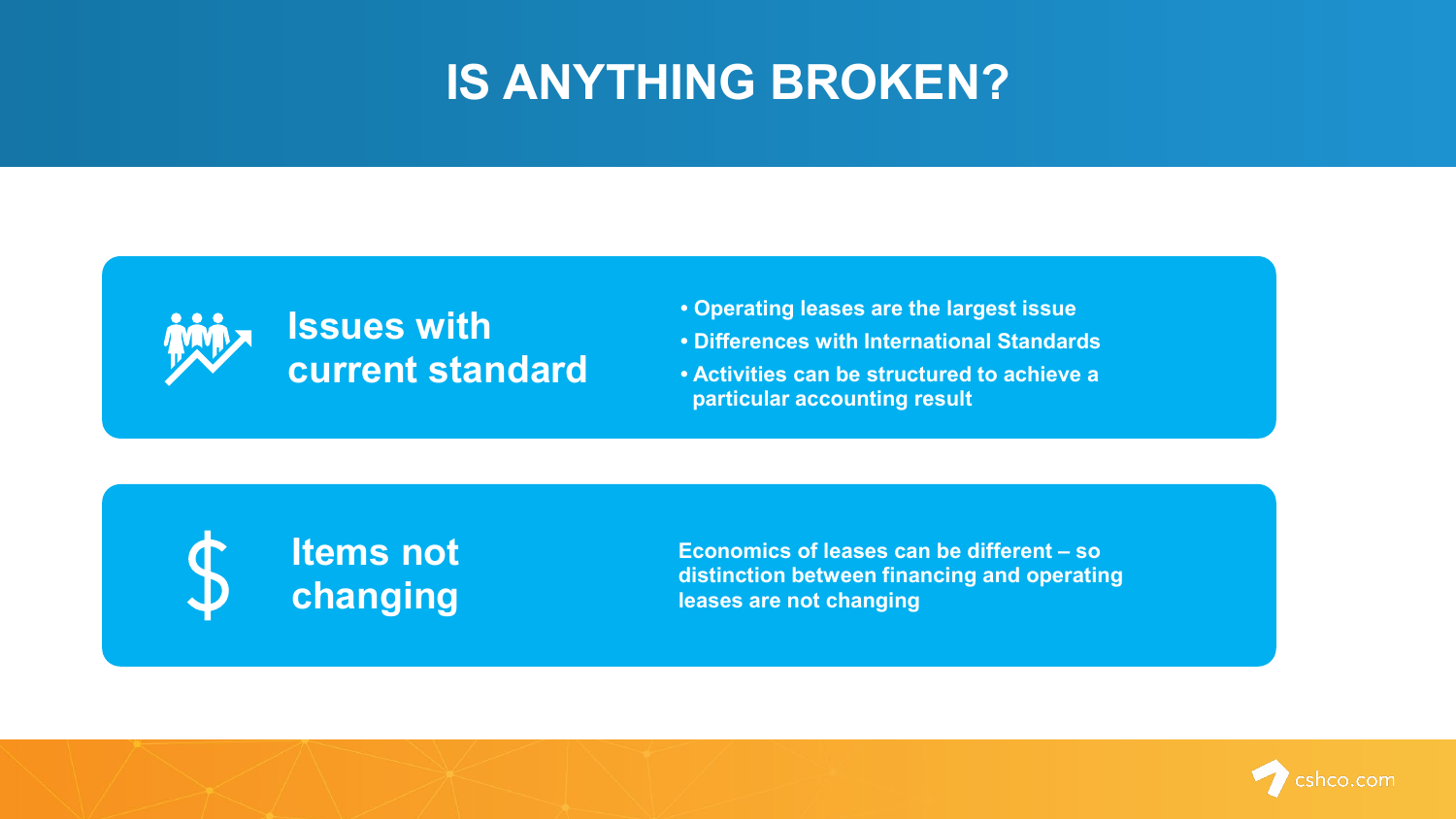## **IS ANYTHING BROKEN?**



- **Operating leases are the largest issue**
- **Differences with International Standards**
- **Activities can be structured to achieve a particular accounting result**



**Economics of leases can be different – so distinction between financing and operating leases are not changing** 

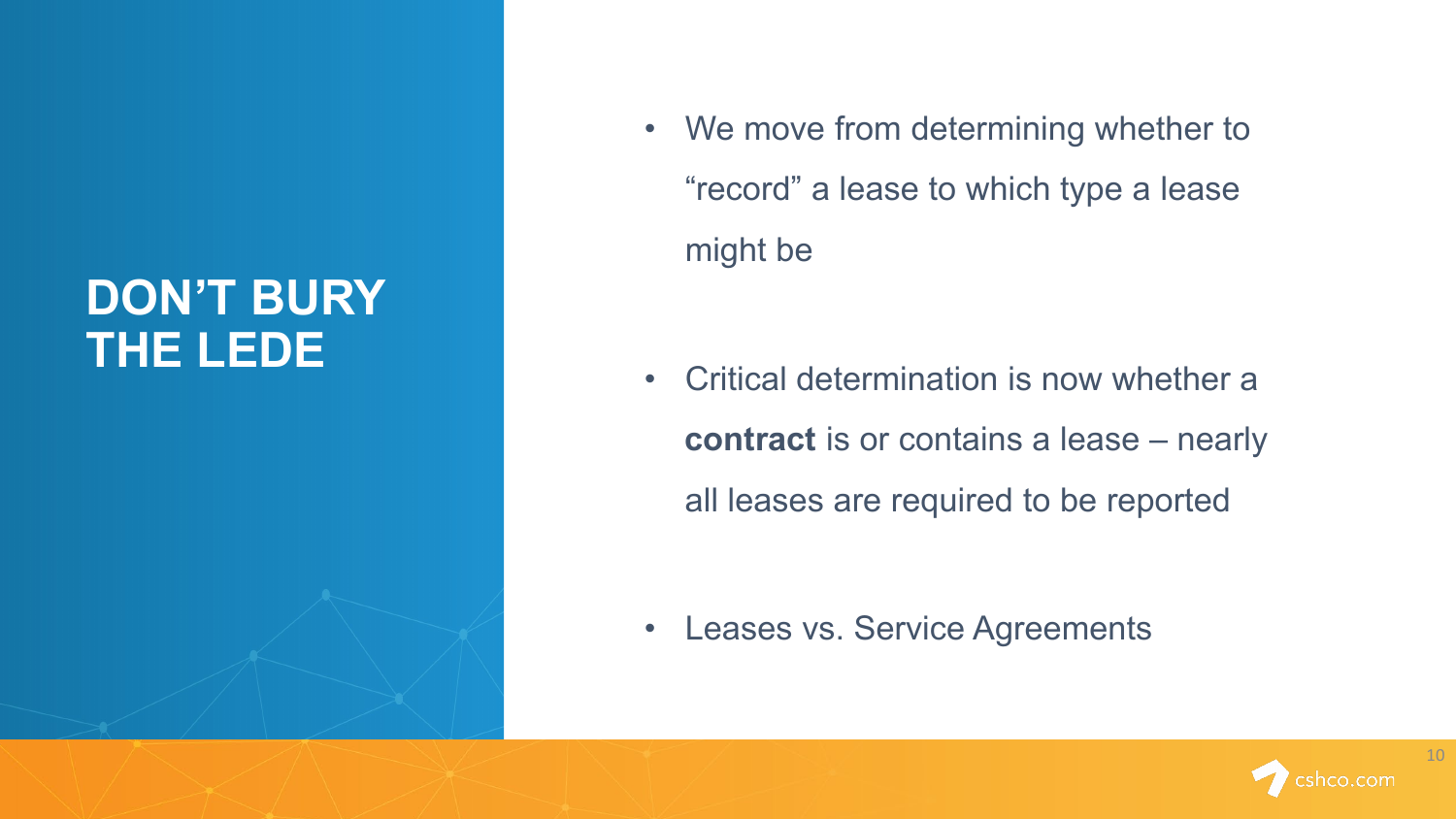## **DON'T BURY THE LEDE**

• We move from determining whether to "record" a lease to which type a lease might be

• Critical determination is now whether a **contract** is or contains a lease – nearly all leases are required to be reported

• Leases vs. Service Agreements



10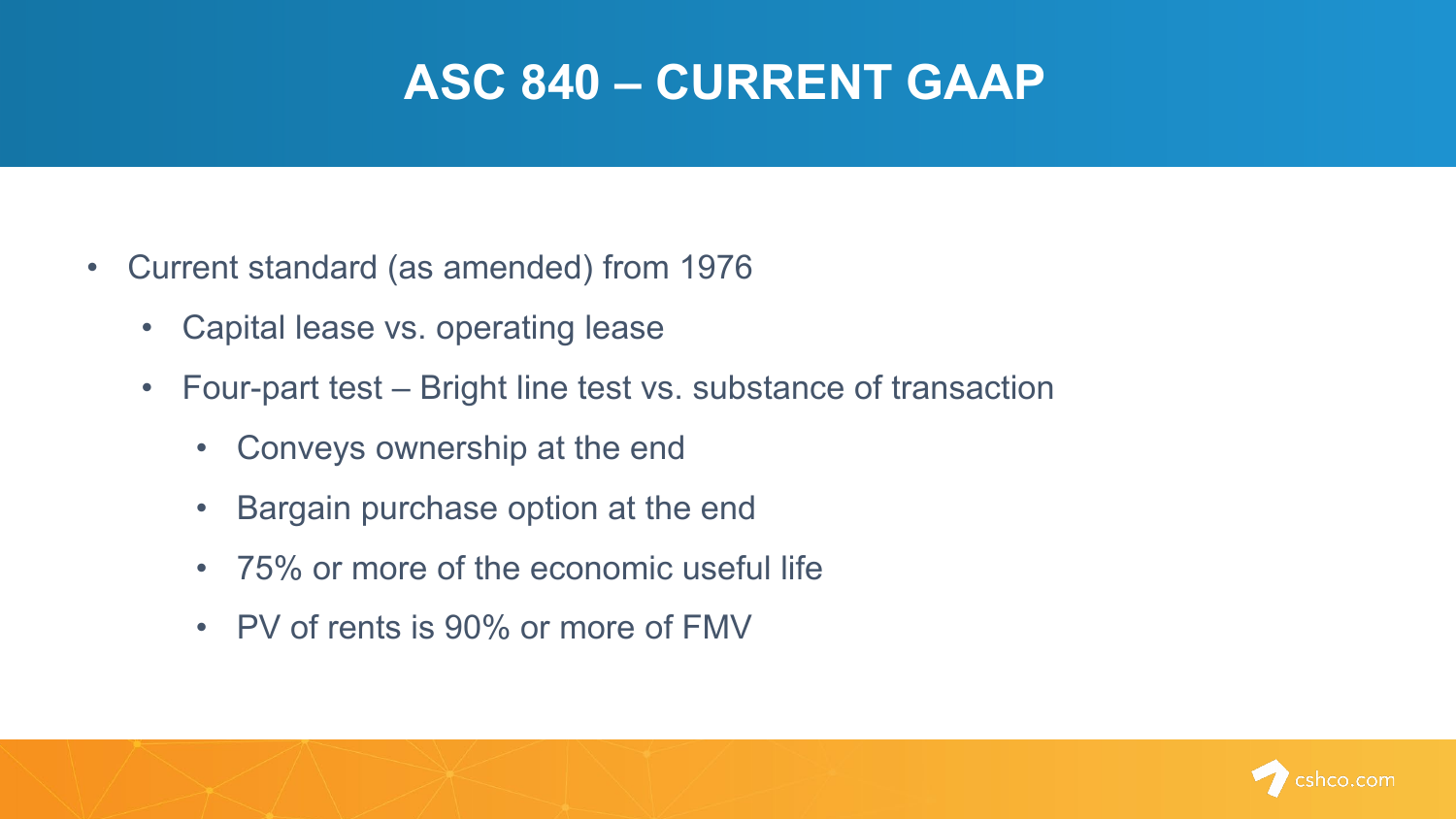## **ASC 840 – CURRENT GAAP**

- Current standard (as amended) from 1976
	- Capital lease vs. operating lease
	- Four-part test Bright line test vs. substance of transaction
		- Conveys ownership at the end
		- Bargain purchase option at the end
		- 75% or more of the economic useful life
		- PV of rents is 90% or more of FMV

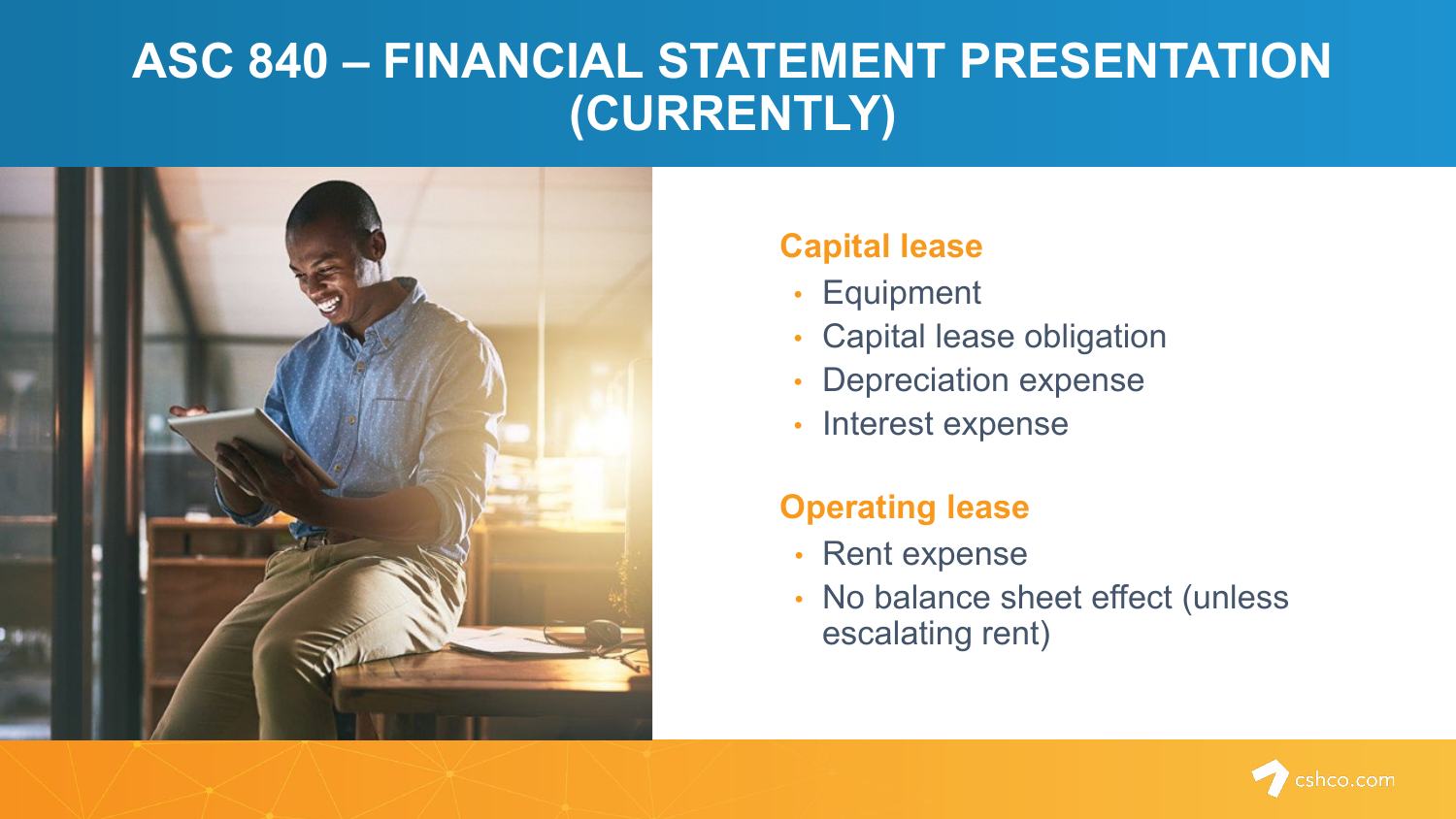## **ASC 840 – FINANCIAL STATEMENT PRESENTATION (CURRENTLY)**



#### • **Capital lease**

- Equipment
- Capital lease obligation
- Depreciation expense
- Interest expense

### • **Operating lease**

- Rent expense
- No balance sheet effect (unless escalating rent)

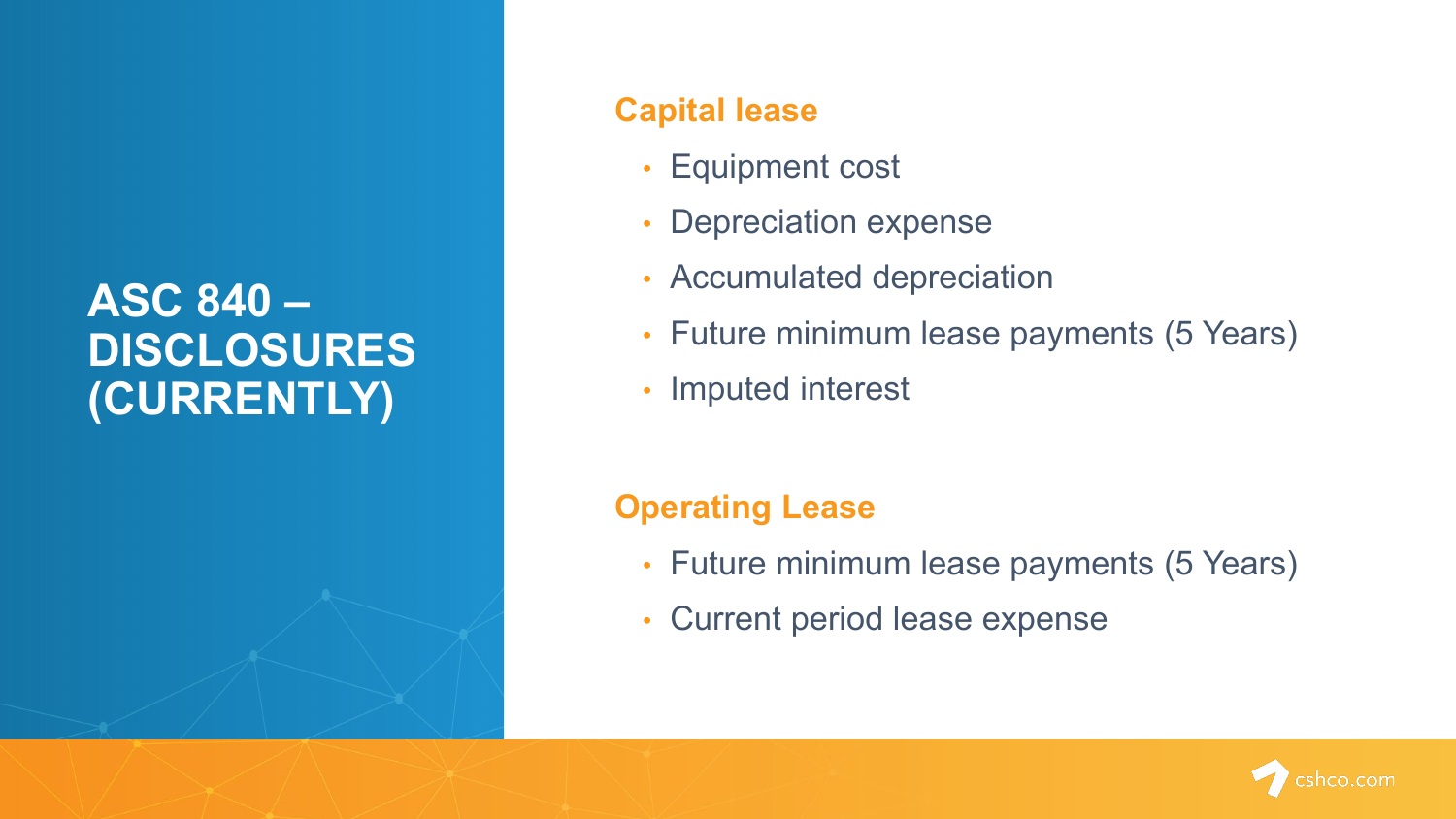### **ASC 840 – DISCLOSURES (CURRENTLY)**

### **Capital lease**

- Equipment cost
- Depreciation expense
- Accumulated depreciation
- Future minimum lease payments (5 Years)
- Imputed interest

### **Operating Lease**

- Future minimum lease payments (5 Years)
- Current period lease expense

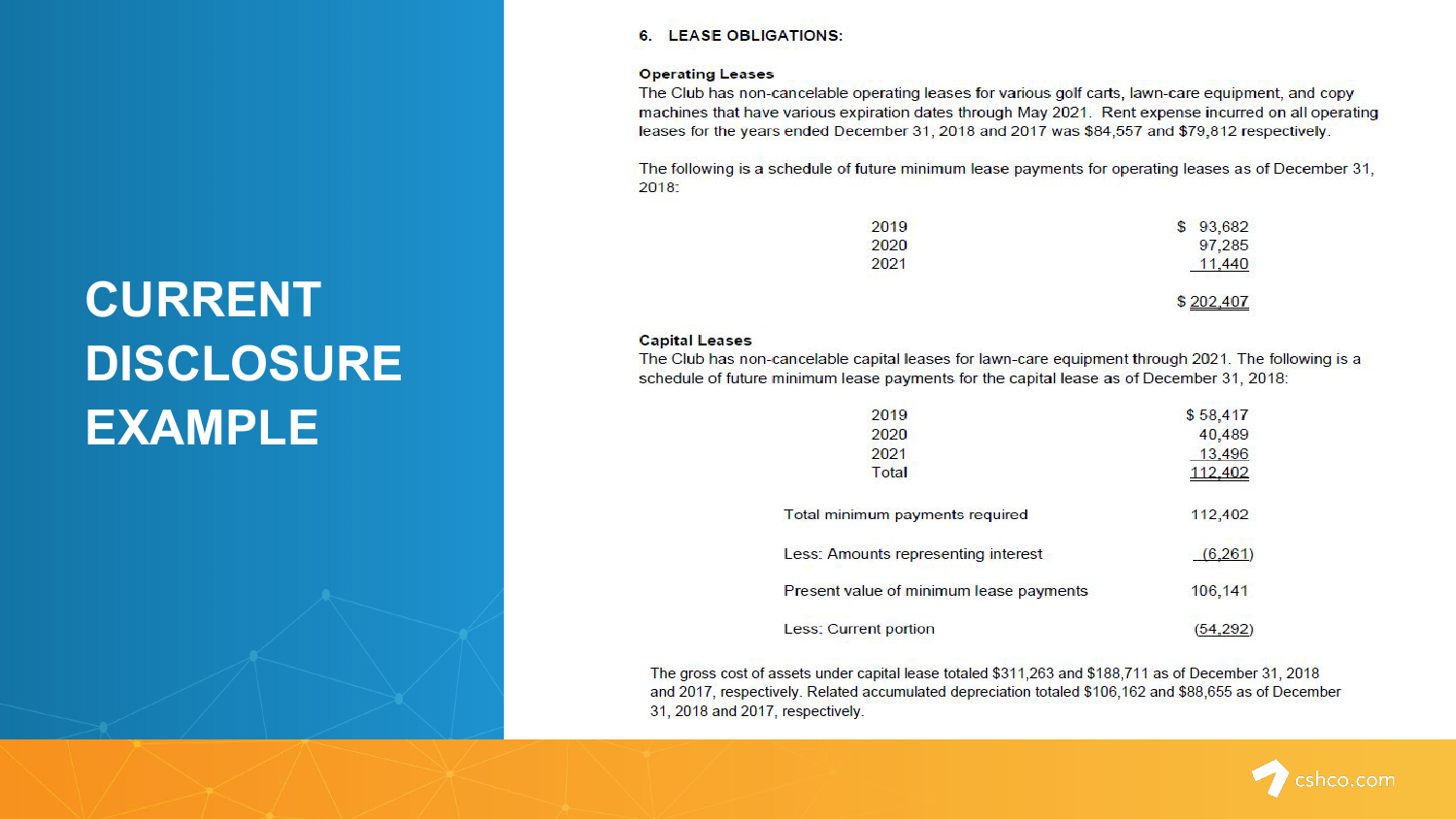## **CURRENT DISCLOSURE EXAMPLE**

#### 6. LEASE OBLIGATIONS:

#### **Operating Leases**

The Club has non-cancelable operating leases for various golf carts, lawn-care equipment, and copy machines that have various expiration dates through May 2021. Rent expense incurred on all operating leases for the years ended December 31, 2018 and 2017 was \$84,557 and \$79,812 respectively.

The following is a schedule of future minimum lease payments for operating leases as of December 31,  $2018:$ 

| 2019 | \$93,682  |
|------|-----------|
| 2020 | 97,285    |
| 2021 | 11,440    |
|      | \$202,407 |

#### **Capital Leases**

The Club has non-cancelable capital leases for lawn-care equipment through 2021. The following is a schedule of future minimum lease payments for the capital lease as of December 31, 2018:

| 2019                                    | \$58,417  |
|-----------------------------------------|-----------|
| 2020                                    | 40,489    |
| 2021                                    | 13,496    |
| Total                                   | 112,402   |
| Total minimum payments required         | 112,402   |
| Less: Amounts representing interest     | (6, 261)  |
| Present value of minimum lease payments | 106,141   |
| Less: Current portion                   | (54, 292) |

The gross cost of assets under capital lease totaled \$311,263 and \$188,711 as of December 31, 2018 and 2017, respectively. Related accumulated depreciation totaled \$106,162 and \$88,655 as of December 31, 2018 and 2017, respectively.

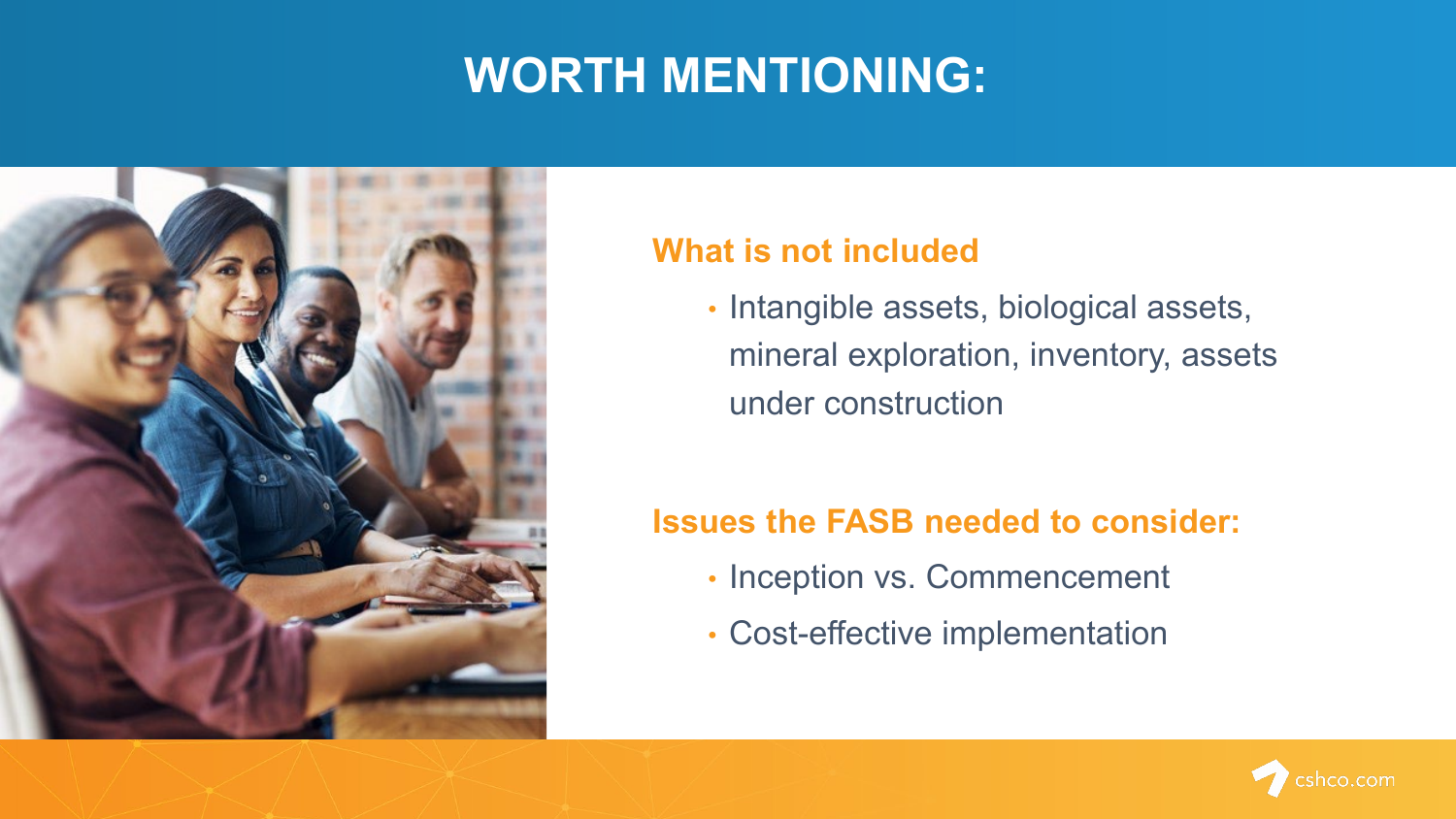## **WORTH MENTIONING:**



#### **What is not included**

• Intangible assets, biological assets, mineral exploration, inventory, assets under construction

#### **Issues the FASB needed to consider:**

- Inception vs. Commencement
- Cost-effective implementation

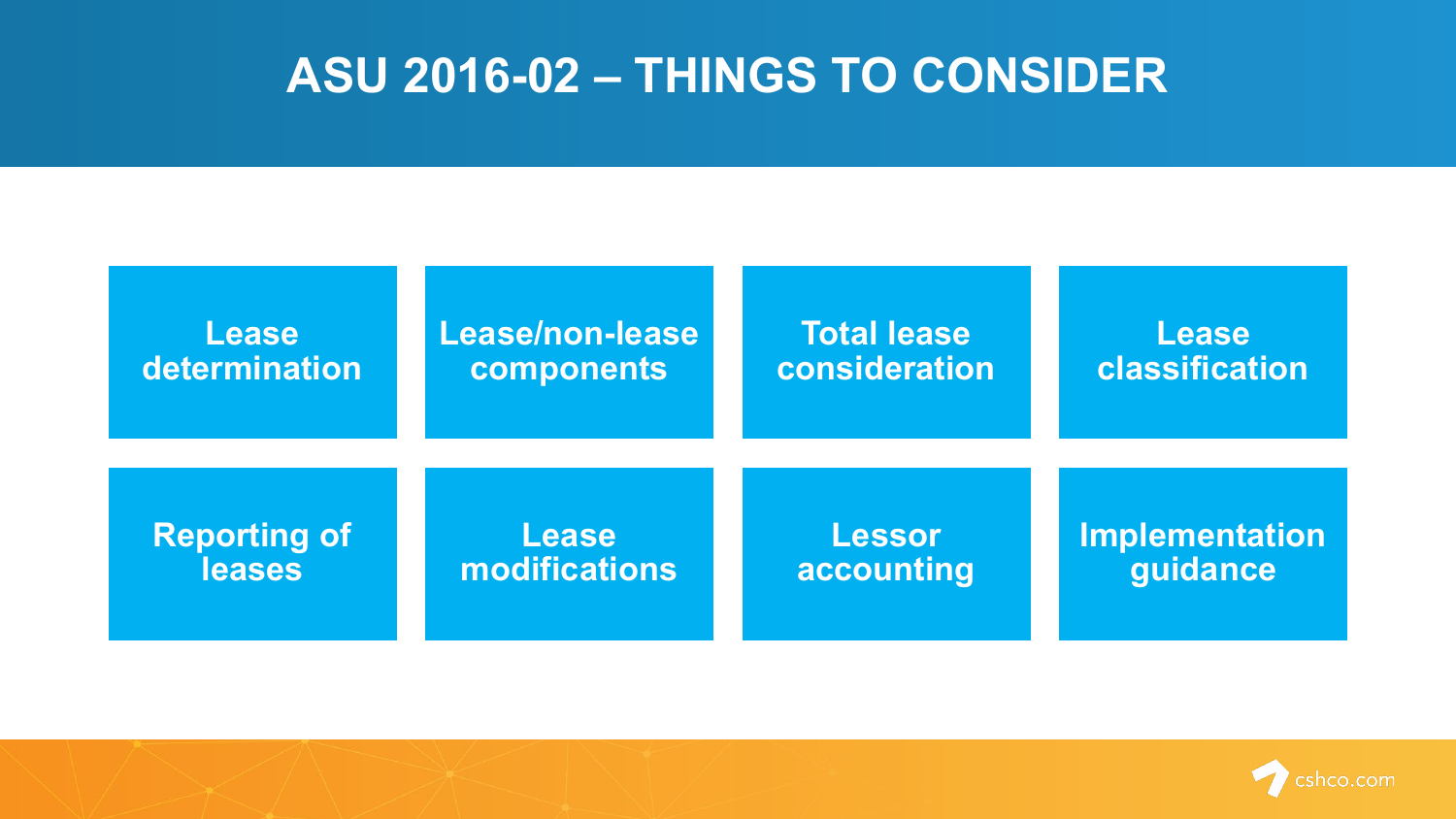### **ASU 2016-02 – THINGS TO CONSIDER**

| <b>Lease</b>  | Lease/non-lease | <b>Total lease</b> | <b>Lease</b>          |
|---------------|-----------------|--------------------|-----------------------|
| determination | components      | consideration      | classification        |
| Reporting of  | <b>Lease</b>    | <b>Lessor</b>      | <b>Implementation</b> |
| leases        | modifications   | accounting         | guidance              |

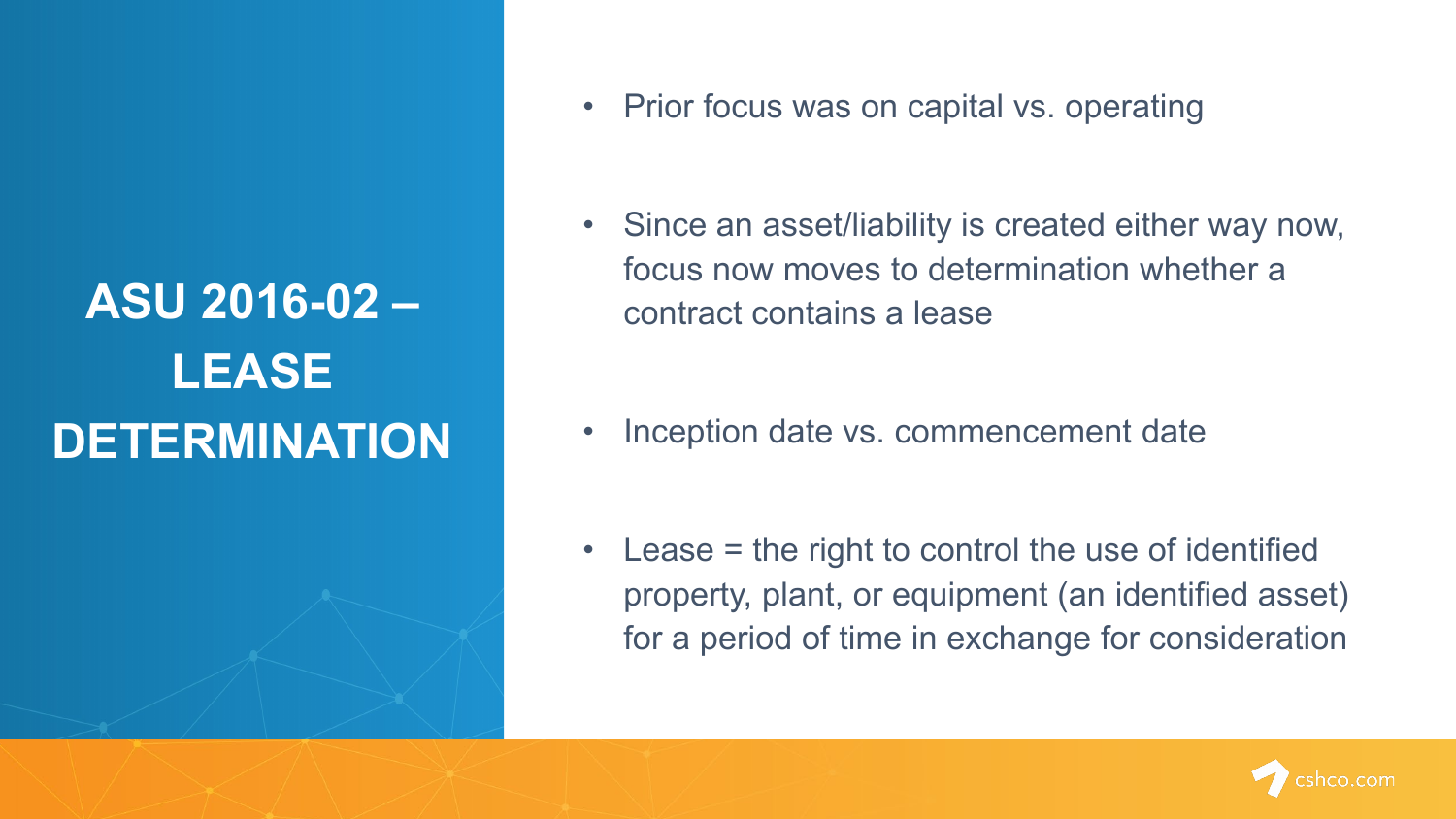# **ASU 2016-02 – LEASE DETERMINATION**

- Prior focus was on capital vs. operating
- Since an asset/liability is created either way now, focus now moves to determination whether a contract contains a lease

- Inception date vs. commencement date
- Lease  $=$  the right to control the use of identified property, plant, or equipment (an identified asset) for a period of time in exchange for consideration

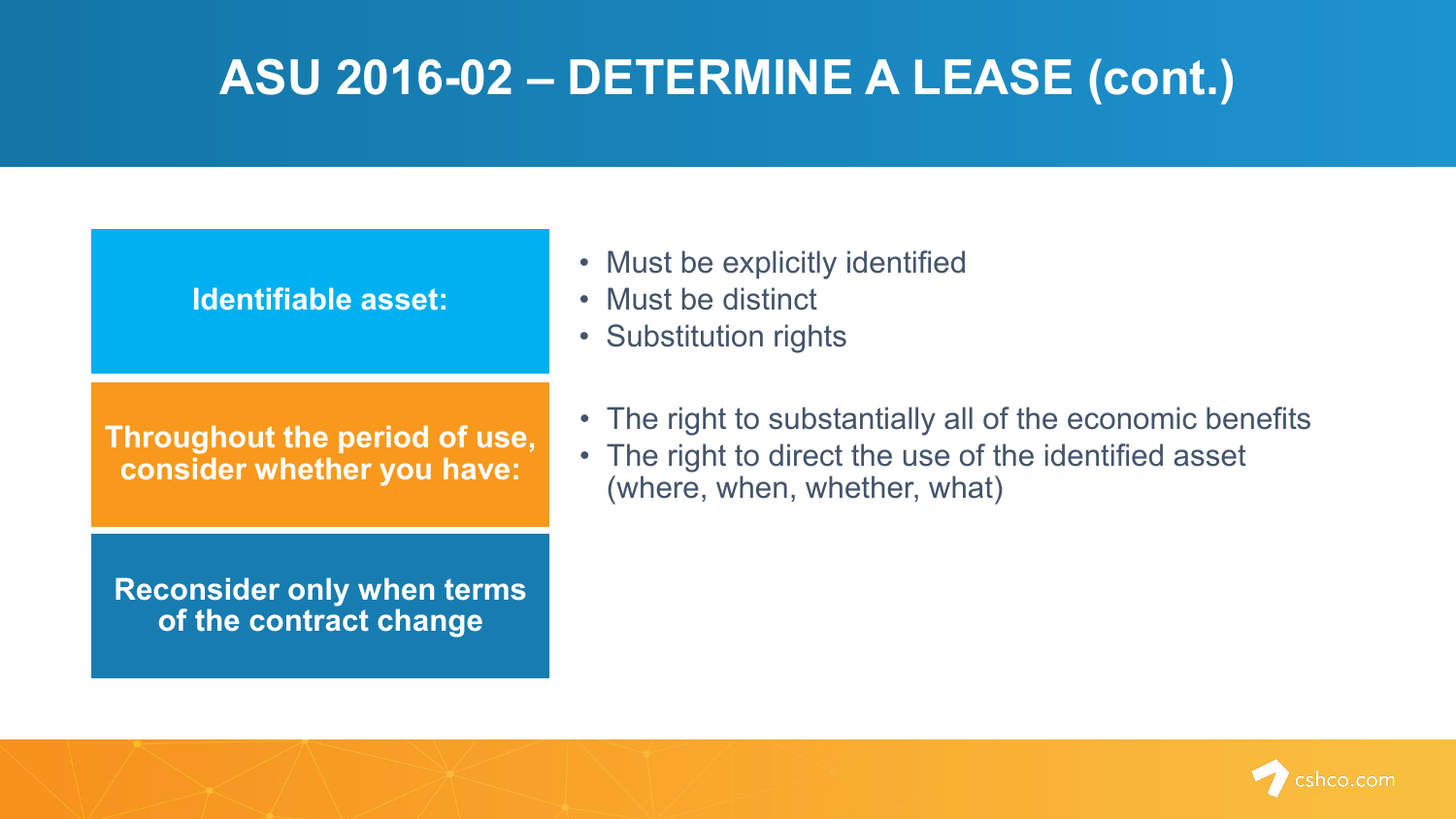## **ASU 2016-02 – DETERMINE A LEASE (cont.)**

#### **Identifiable asset:**

**Throughout the period of use, consider whether you have:**

**Reconsider only when terms of the contract change** 

- Must be explicitly identified
- Must be distinct
- Substitution rights
- The right to substantially all of the economic benefits
- The right to direct the use of the identified asset (where, when, whether, what)

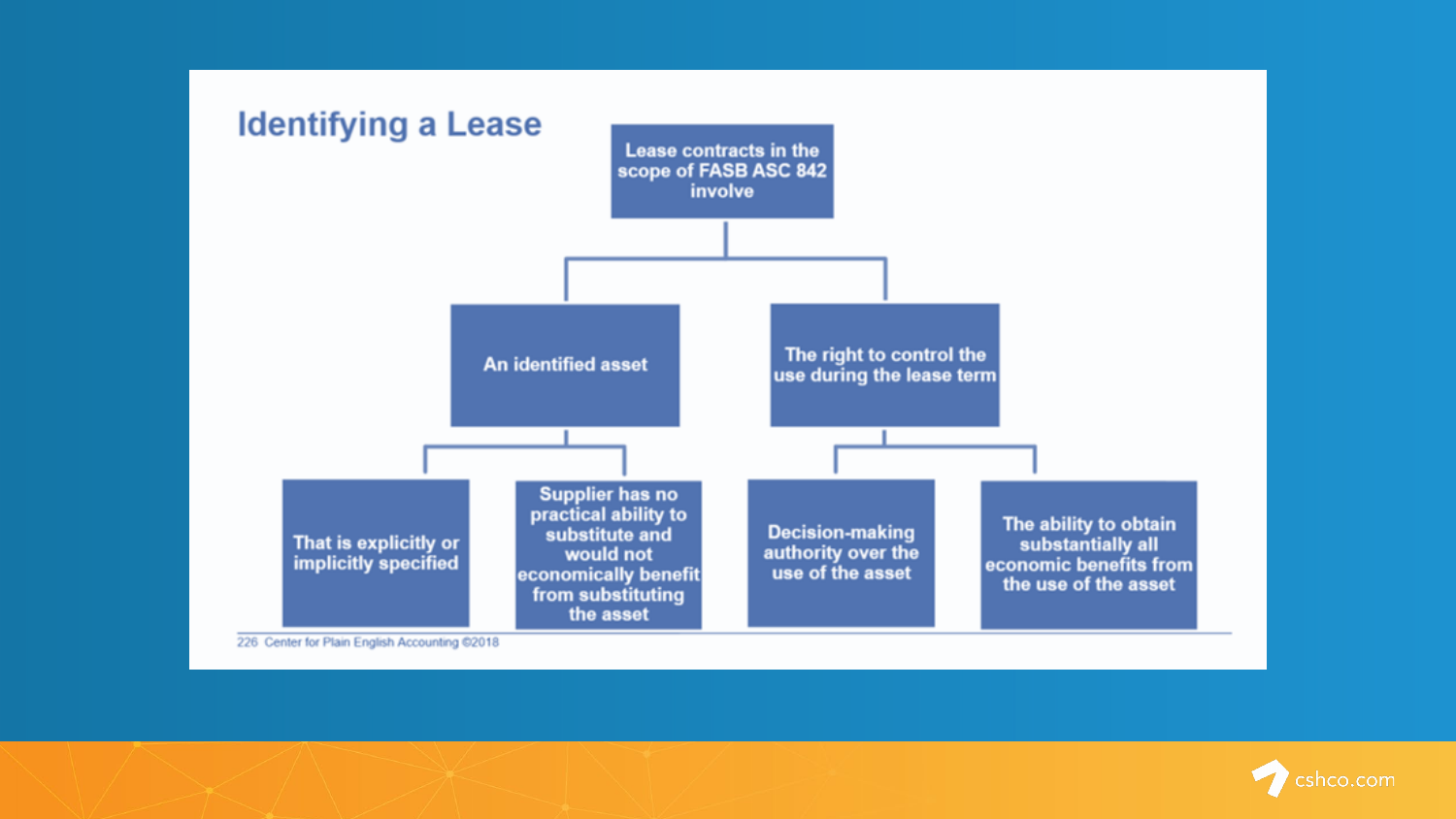

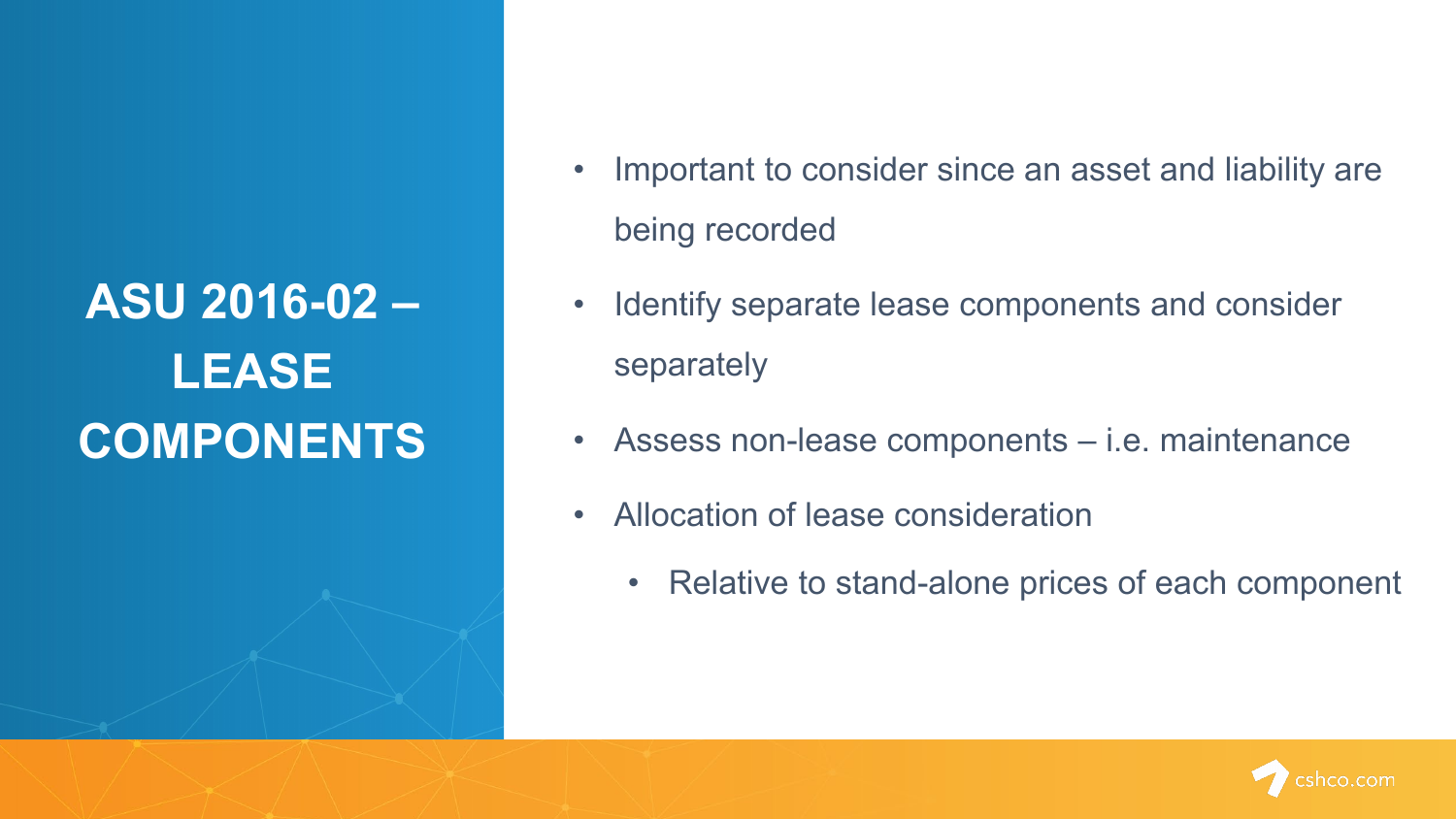## **ASU 2016-02 – LEASE COMPONENTS**

- Important to consider since an asset and liability are being recorded
- Identify separate lease components and consider separately
- Assess non-lease components i.e. maintenance
- Allocation of lease consideration
	- Relative to stand-alone prices of each component

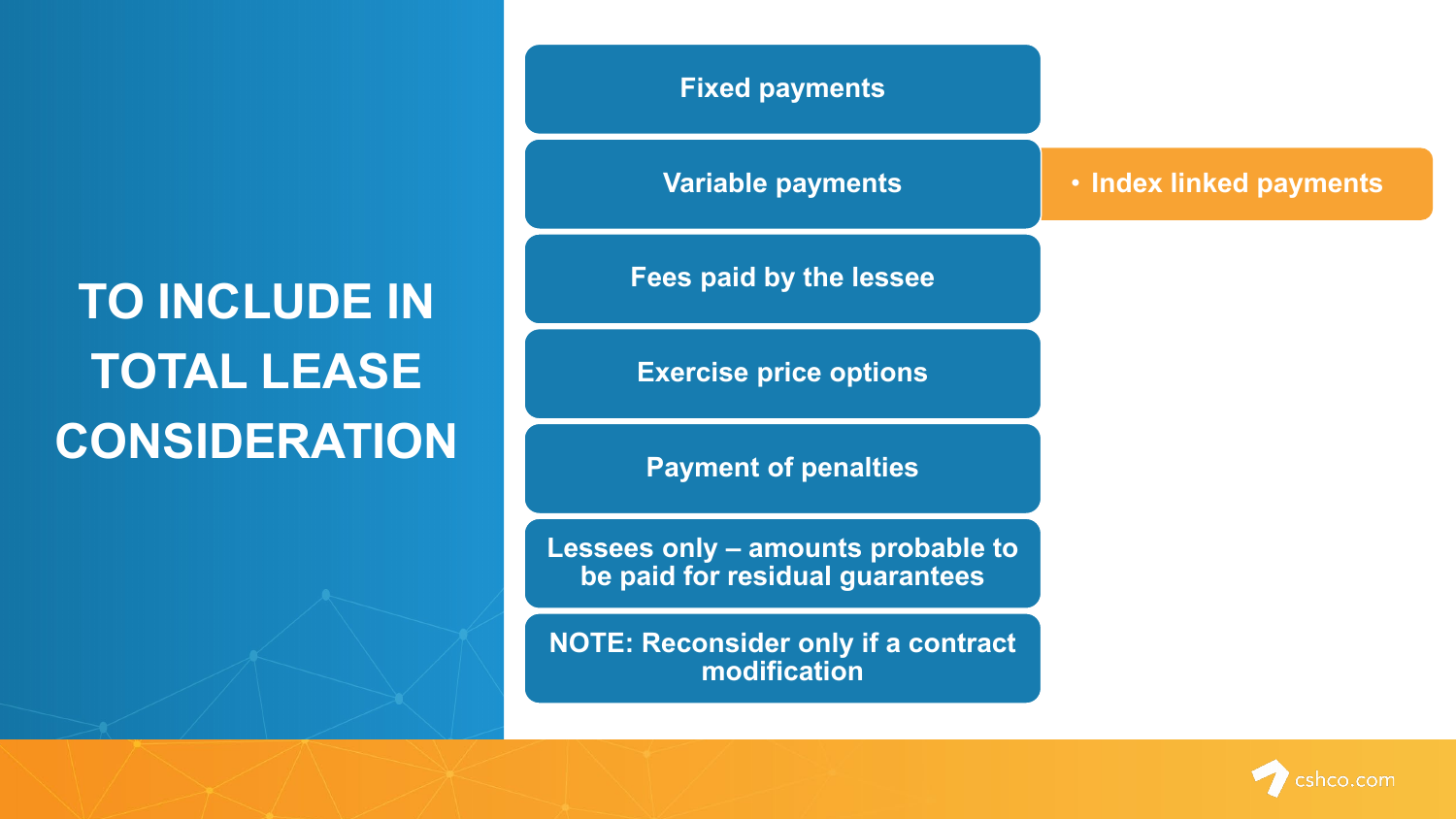## **TO INCLUDE IN TOTAL LEASE CONSIDERATION**

**Fixed payments**

**Fees paid by the lessee**

**Exercise price options**

**Payment of penalties**

**Lessees only – amounts probable to be paid for residual guarantees**

**NOTE: Reconsider only if a contract modification**

#### **Variable payments** • **Index linked payments**

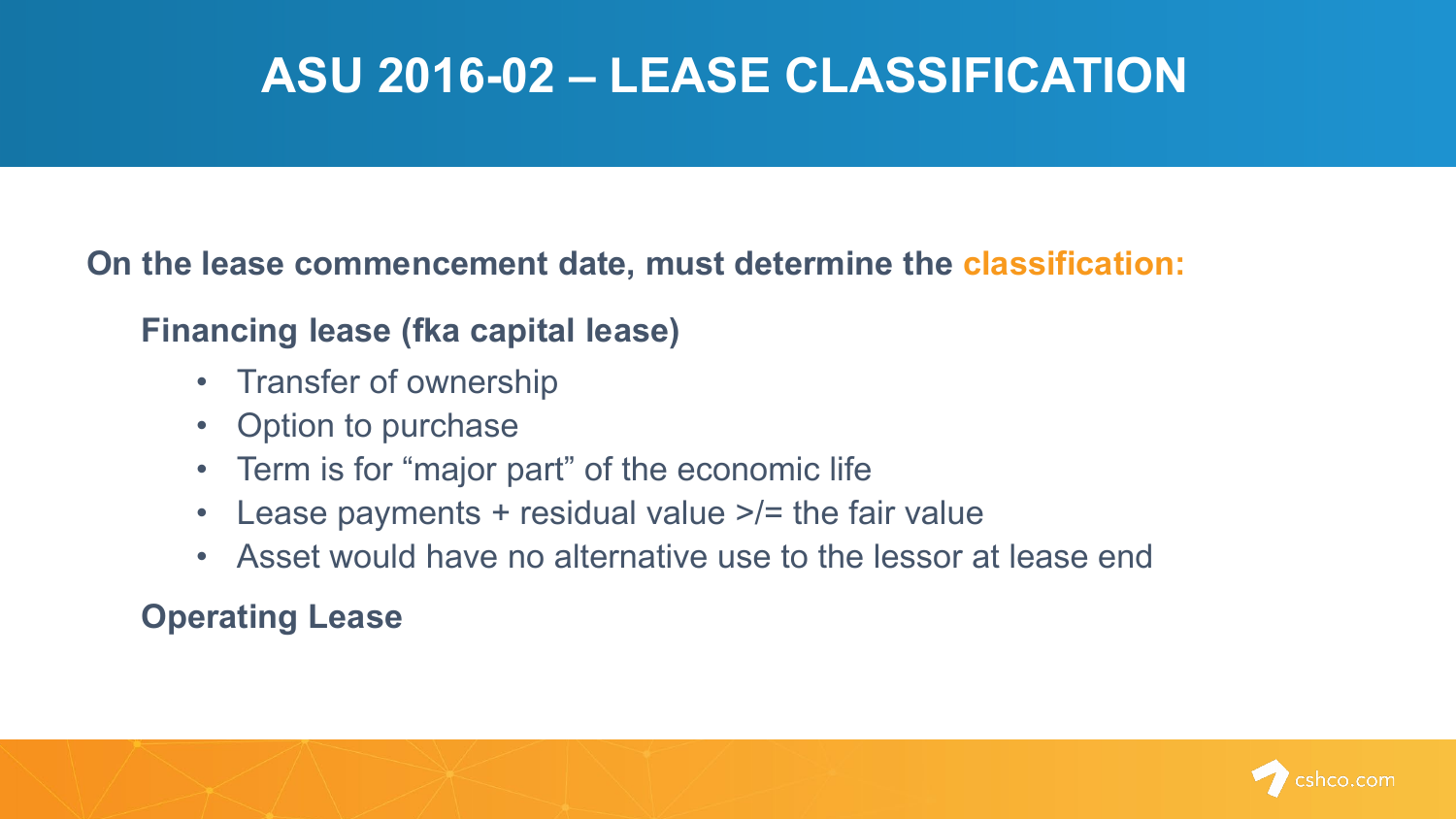## **ASU 2016-02 – LEASE CLASSIFICATION**

#### **On the lease commencement date, must determine the classification:**

### **Financing lease (fka capital lease)**

- Transfer of ownership
- Option to purchase
- Term is for "major part" of the economic life
- Lease payments + residual value >/= the fair value
- Asset would have no alternative use to the lessor at lease end

### **Operating Lease**

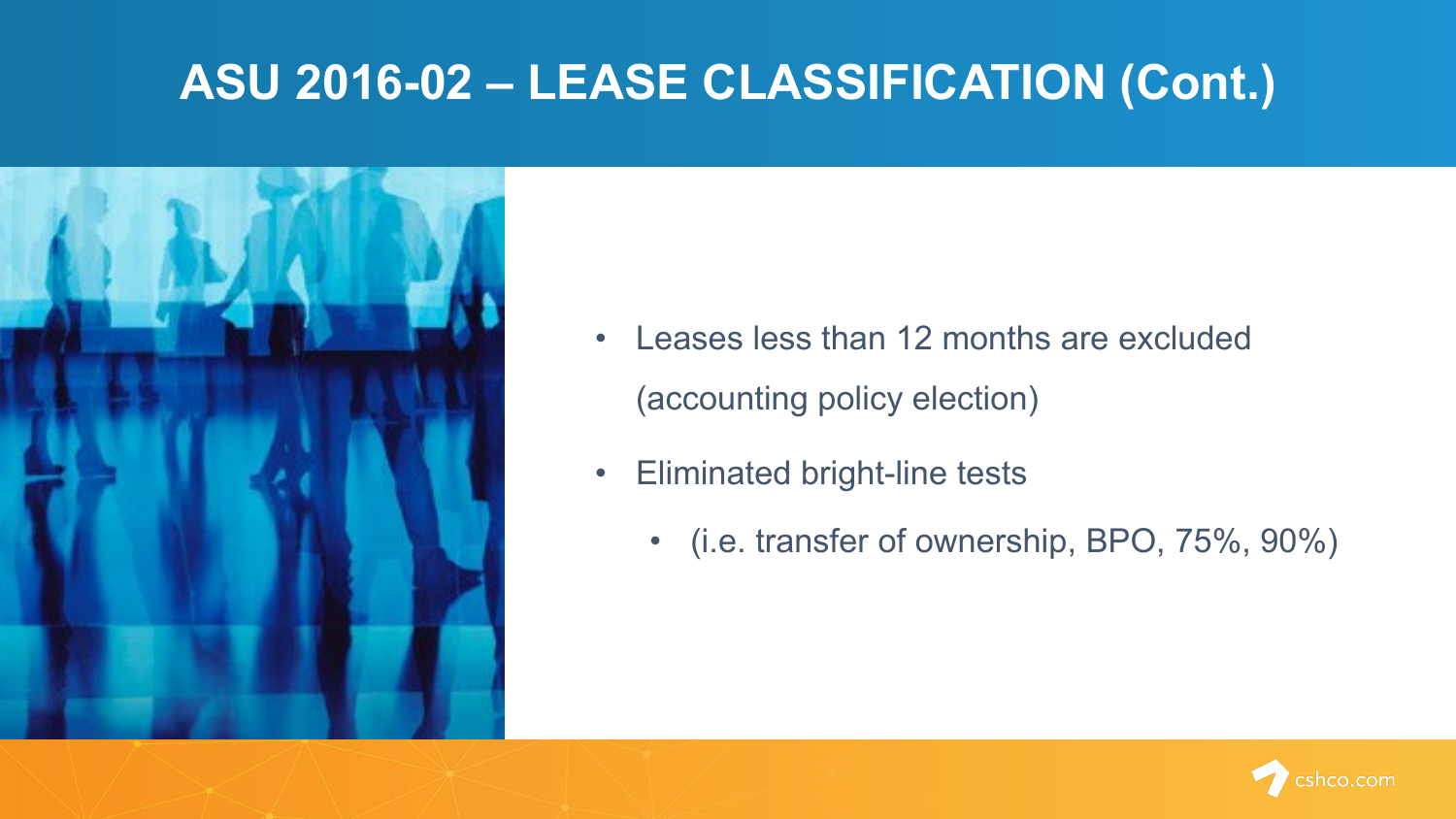## **ASU 2016-02 – LEASE CLASSIFICATION (Cont.)**



- Leases less than 12 months are excluded (accounting policy election)
- Eliminated bright-line tests
	- (i.e. transfer of ownership, BPO, 75%, 90%)

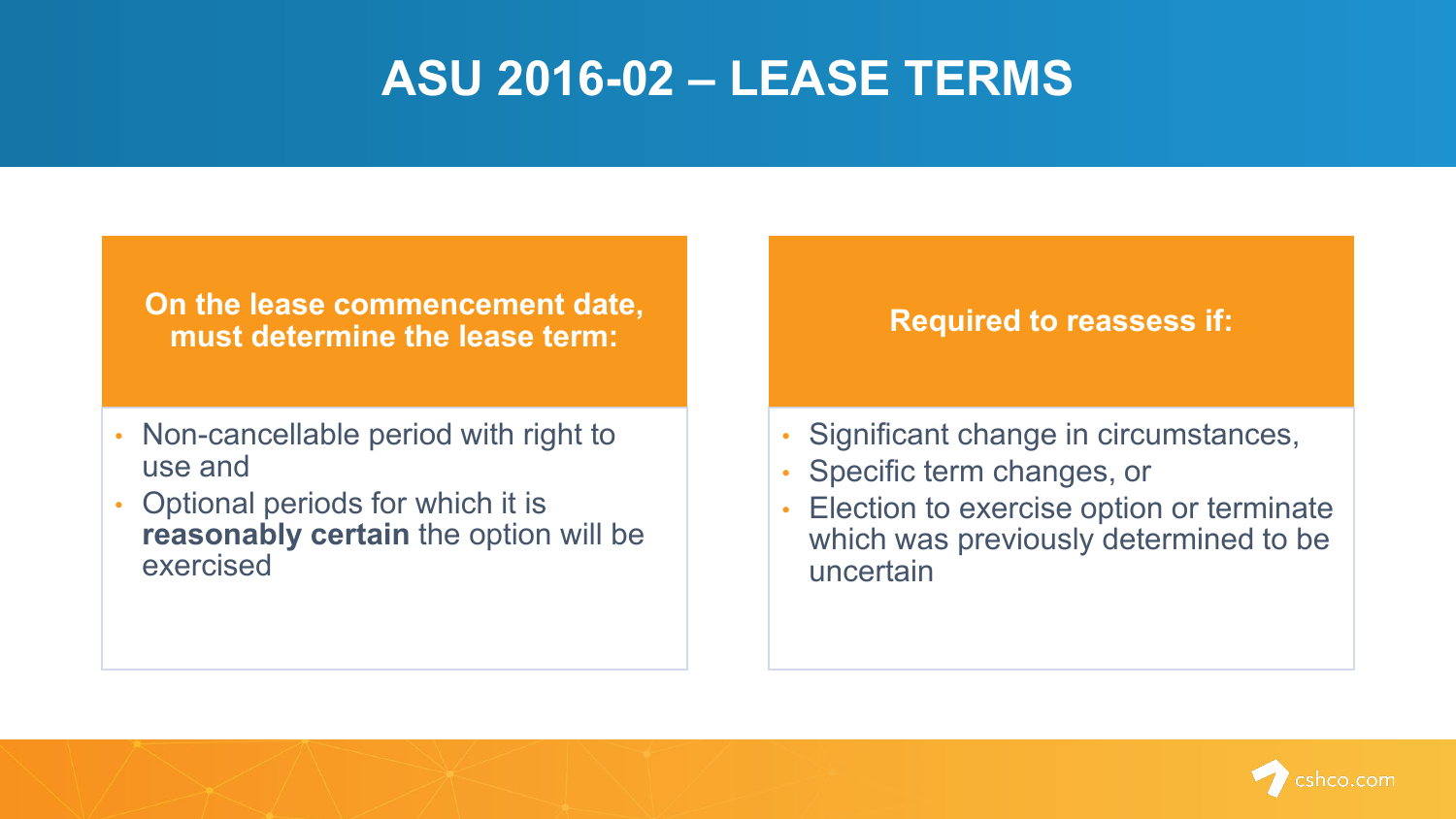## **ASU 2016-02 – LEASE TERMS**

#### **On the lease commencement date, must determine the lease term:**

- Non-cancellable period with right to use and
- Optional periods for which it is **reasonably certain** the option will be exercised

#### **Required to reassess if:**

- Significant change in circumstances,
- Specific term changes, or
- Election to exercise option or terminate which was previously determined to be uncertain

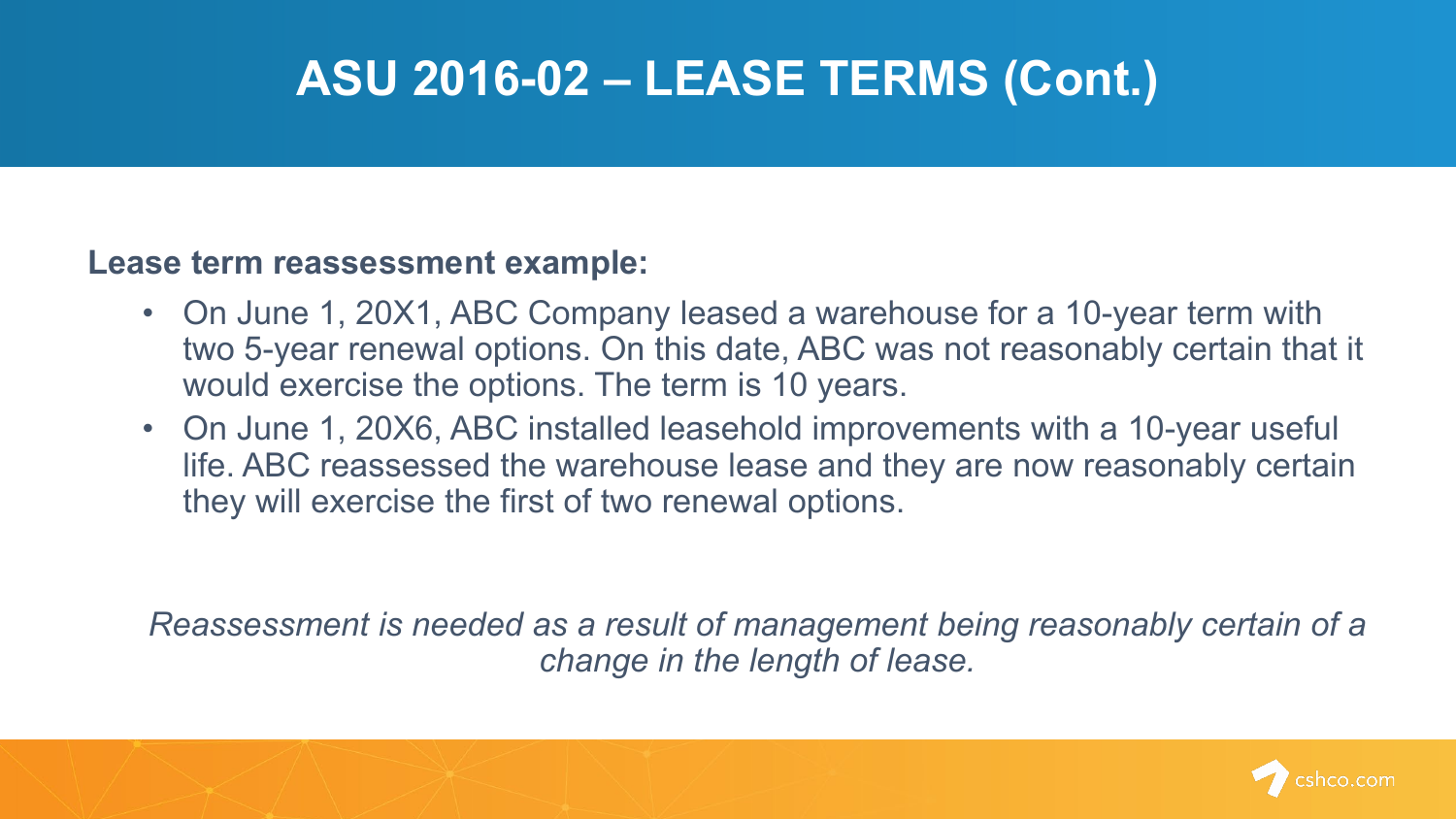## **ASU 2016-02 – LEASE TERMS (Cont.)**

#### **Lease term reassessment example:**

- On June 1, 20X1, ABC Company leased a warehouse for a 10-year term with two 5-year renewal options. On this date, ABC was not reasonably certain that it would exercise the options. The term is 10 years.
- On June 1, 20X6, ABC installed leasehold improvements with a 10-year useful life. ABC reassessed the warehouse lease and they are now reasonably certain they will exercise the first of two renewal options.

*Reassessment is needed as a result of management being reasonably certain of a change in the length of lease.*

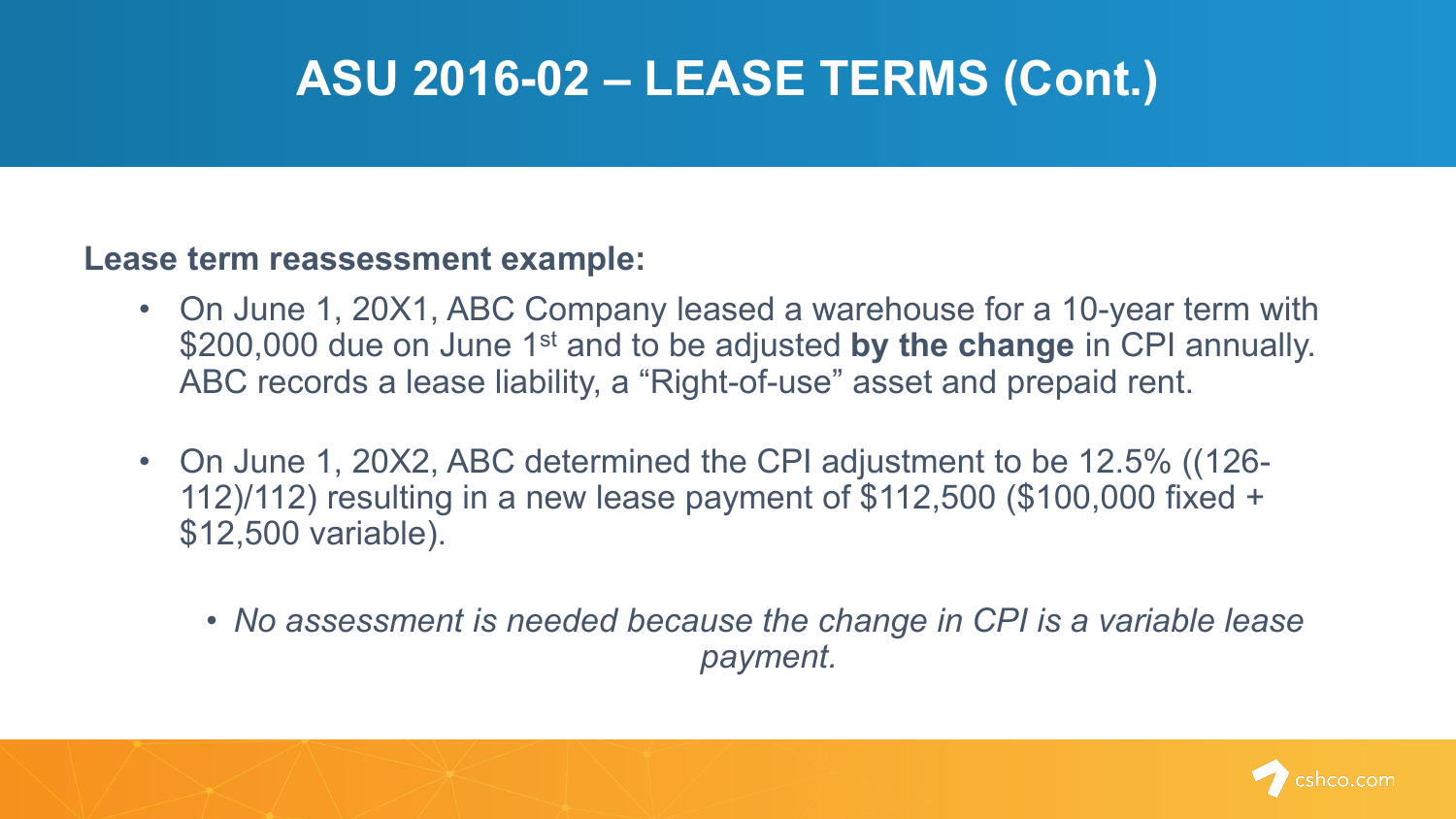## **ASU 2016-02 – LEASE TERMS (Cont.)**

#### **Lease term reassessment example:**

- On June 1, 20X1, ABC Company leased a warehouse for a 10-year term with \$200,000 due on June 1st and to be adjusted **by the change** in CPI annually. ABC records a lease liability, a "Right-of-use" asset and prepaid rent.
- On June 1, 20X2, ABC determined the CPI adjustment to be 12.5% ((126- 112)/112) resulting in a new lease payment of \$112,500 (\$100,000 fixed + \$12,500 variable).
	- *No assessment is needed because the change in CPI is a variable lease payment.*

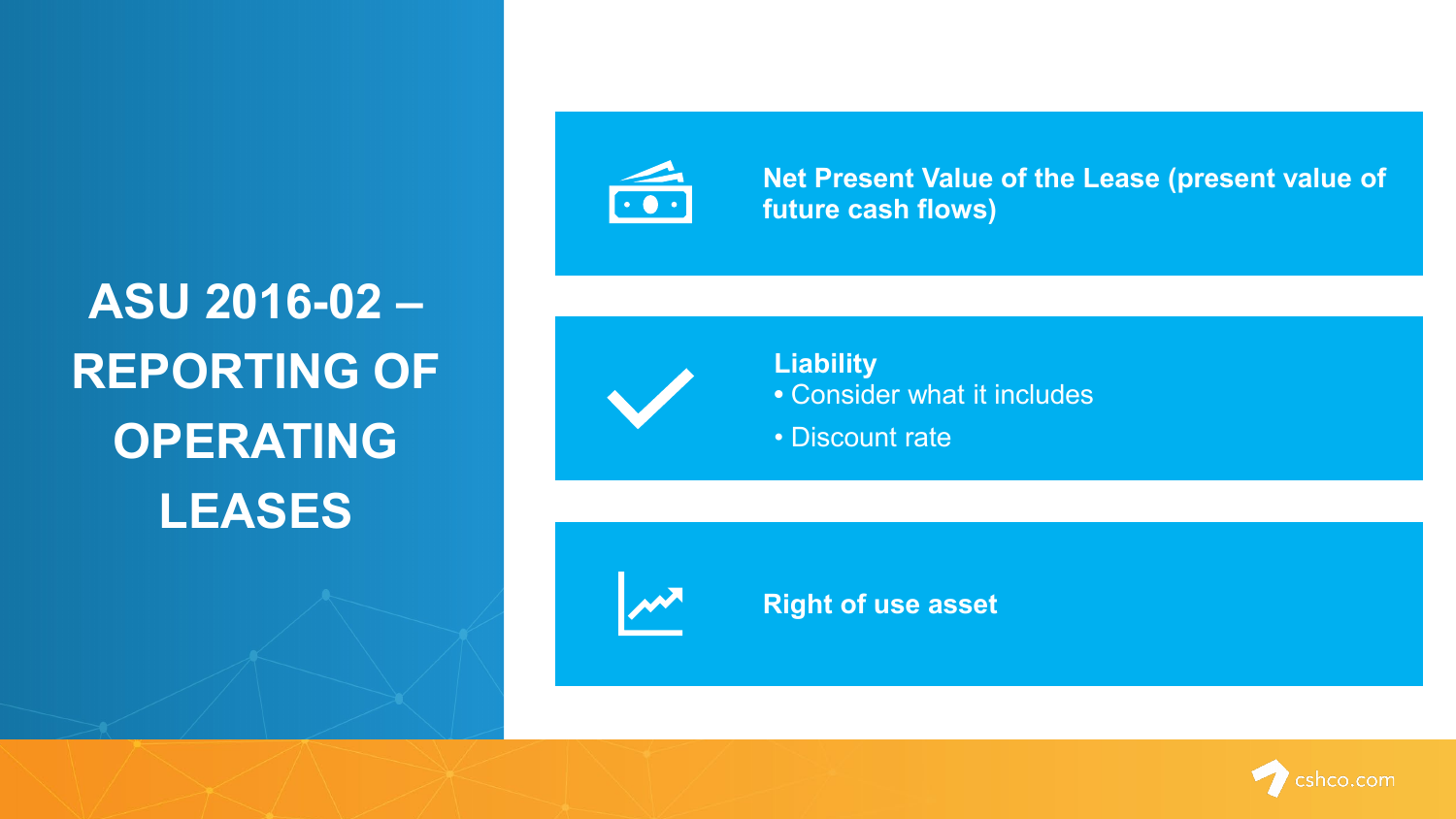# **ASU 2016-02 – REPORTING OF OPERATING LEASES**



**Net Present Value of the Lease (present value of future cash flows)**



**Liability •** Consider what it includes

• Discount rate



**Right of use asset**

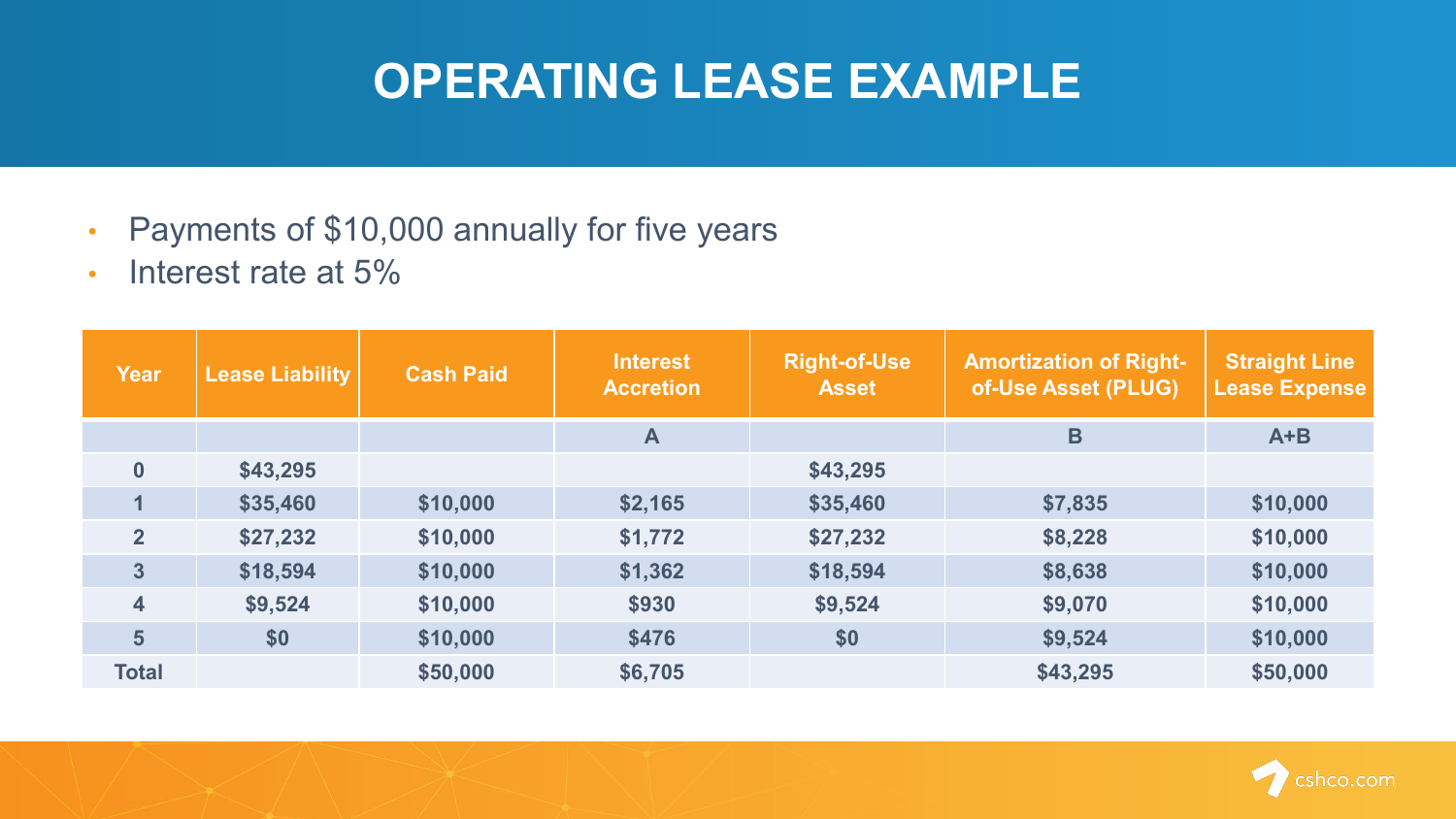## **OPERATING LEASE EXAMPLE**

- Payments of \$10,000 annually for five years
- Interest rate at 5%

| <b>Year</b>             | <b>Lease Liability</b> | <b>Cash Paid</b> | <b>Interest</b><br><b>Accretion</b> | <b>Right-of-Use</b><br><b>Asset</b> | <b>Amortization of Right-</b><br>of-Use Asset (PLUG) | <b>Straight Line</b><br><b>Lease Expense</b> |
|-------------------------|------------------------|------------------|-------------------------------------|-------------------------------------|------------------------------------------------------|----------------------------------------------|
|                         |                        |                  | $\mathbf{A}$                        |                                     | B                                                    | $A + B$                                      |
| $\boldsymbol{0}$        | \$43,295               |                  |                                     | \$43,295                            |                                                      |                                              |
| $\mathbf 1$             | \$35,460               | \$10,000         | \$2,165                             | \$35,460                            | \$7,835                                              | \$10,000                                     |
| $\overline{2}$          | \$27,232               | \$10,000         | \$1,772                             | \$27,232                            | \$8,228                                              | \$10,000                                     |
| $\overline{3}$          | \$18,594               | \$10,000         | \$1,362                             | \$18,594                            | \$8,638                                              | \$10,000                                     |
| $\overline{\mathbf{4}}$ | \$9,524                | \$10,000         | \$930                               | \$9,524                             | \$9,070                                              | \$10,000                                     |
| 5                       | \$0                    | \$10,000         | \$476                               | \$0                                 | \$9,524                                              | \$10,000                                     |
| <b>Total</b>            |                        | \$50,000         | \$6,705                             |                                     | \$43,295                                             | \$50,000                                     |

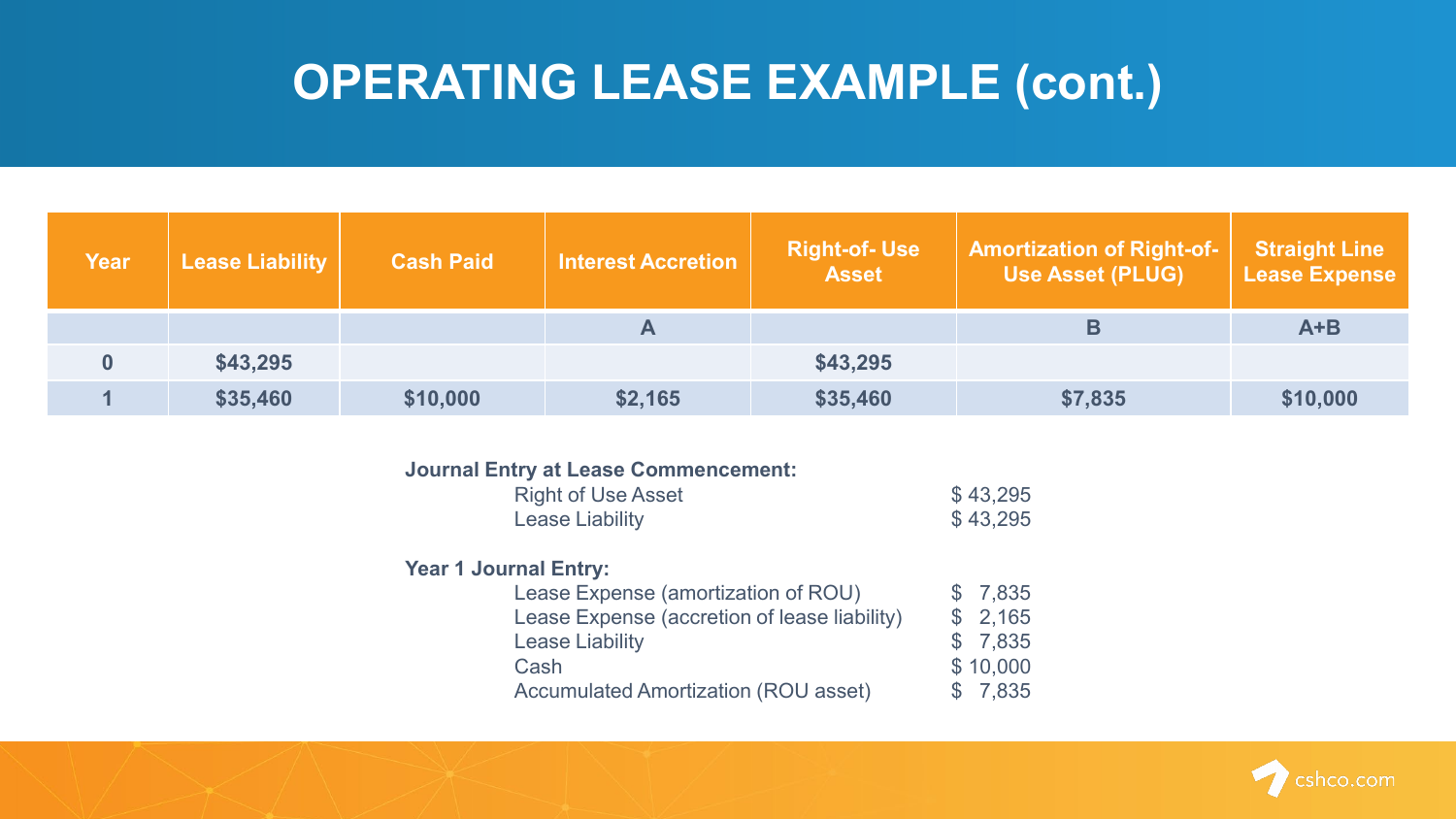## **OPERATING LEASE EXAMPLE (cont.)**

| Year | <b>Lease Liability</b> | <b>Cash Paid</b> | <b>Interest Accretion</b> | <b>Right-of-Use</b><br><b>Asset</b> | <b>Amortization of Right-of-</b><br><b>Use Asset (PLUG)</b> | <b>Straight Line</b><br>Lease Expense |
|------|------------------------|------------------|---------------------------|-------------------------------------|-------------------------------------------------------------|---------------------------------------|
|      |                        |                  | A                         |                                     |                                                             | $A + B$                               |
|      | \$43,295               |                  |                           | \$43,295                            |                                                             |                                       |
|      | \$35,460               | \$10,000         | \$2,165                   | \$35,460                            | \$7,835                                                     | \$10,000                              |

#### **Journal Entry at Lease Commencement:**

| <b>Right of Use Asset</b> | \$43,295 |
|---------------------------|----------|
| <b>Lease Liability</b>    | \$43,295 |

#### **Year 1 Journal Entry:**

| Lease Expense (amortization of ROU)          | \$7.835  |
|----------------------------------------------|----------|
| Lease Expense (accretion of lease liability) | \$2,165  |
| Lease Liability                              | \$7.835  |
| Cash                                         | \$10,000 |
| <b>Accumulated Amortization (ROU asset)</b>  | \$7,835  |
|                                              |          |

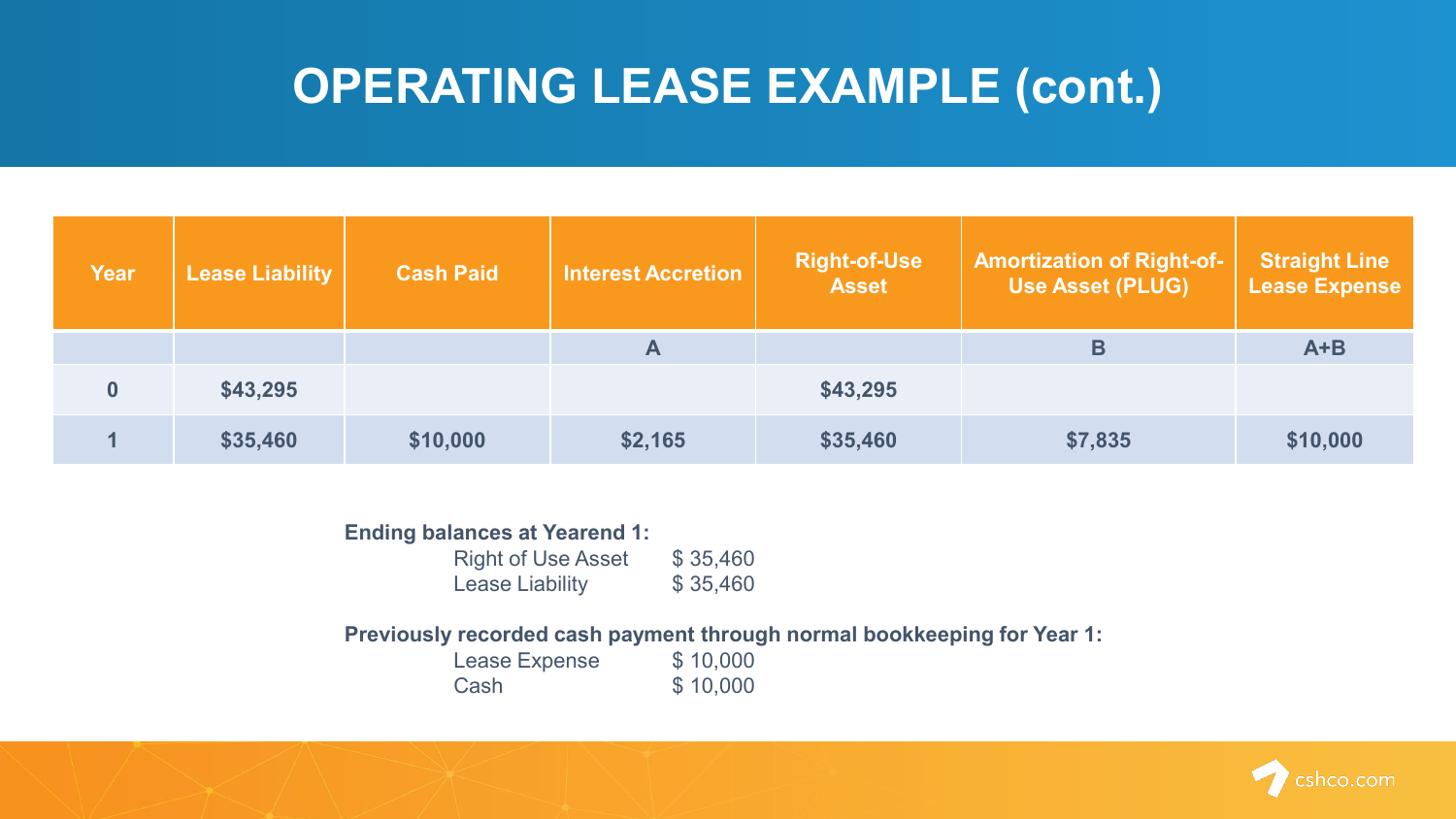## **OPERATING LEASE EXAMPLE (cont.)**

| <b>Year</b> | <b>Lease Liability</b> | <b>Cash Paid</b> | <b>Interest Accretion</b> | <b>Right-of-Use</b><br><b>Asset</b> | <b>Amortization of Right-of-</b><br><b>Use Asset (PLUG)</b> | <b>Straight Line</b><br><b>Lease Expense</b> |
|-------------|------------------------|------------------|---------------------------|-------------------------------------|-------------------------------------------------------------|----------------------------------------------|
|             |                        |                  | A                         |                                     | Β                                                           | $A + B$                                      |
|             | \$43,295               |                  |                           | \$43,295                            |                                                             |                                              |
|             | \$35,460               | \$10,000         | \$2,165                   | \$35,460                            | \$7,835                                                     | \$10,000                                     |

| <b>Ending balances at Yearend 1:</b><br><b>Right of Use Asset</b><br><b>Lease Liability</b> | \$35,460<br>\$35,460                                                                            |
|---------------------------------------------------------------------------------------------|-------------------------------------------------------------------------------------------------|
| <b>Lease Expense</b><br>Cash                                                                | Previously recorded cash payment through normal bookkeeping for Year 1:<br>\$10,000<br>\$10,000 |

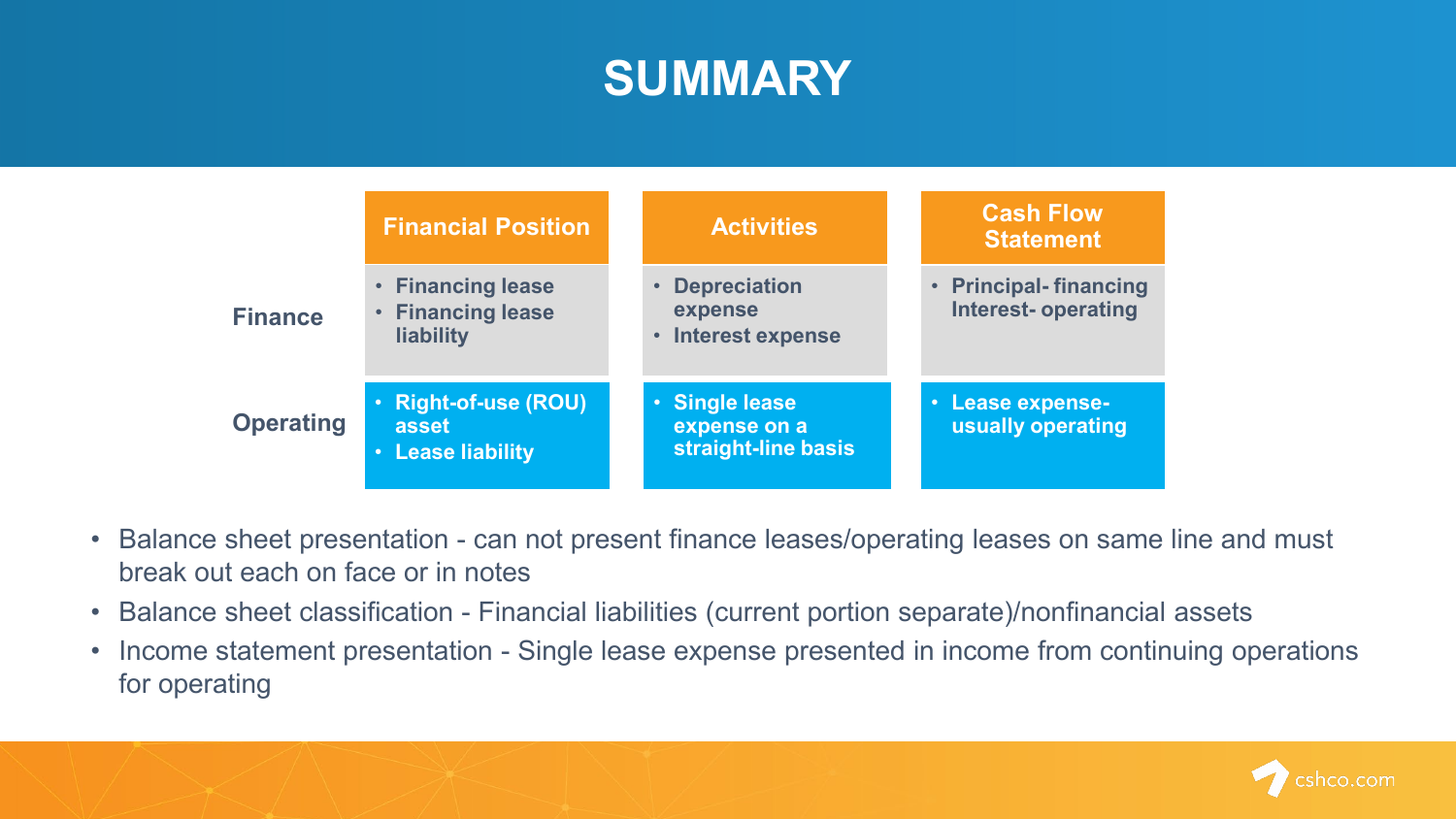## **SUMMARY**

|                  | <b>Financial Position</b>                                    | <b>Activities</b>                                     | <b>Cash Flow</b><br><b>Statement</b>               |
|------------------|--------------------------------------------------------------|-------------------------------------------------------|----------------------------------------------------|
| <b>Finance</b>   | • Financing lease<br>• Financing lease<br><b>liability</b>   | <b>Depreciation</b><br>expense<br>• Interest expense  | • Principal-financing<br><b>Interest-operating</b> |
| <b>Operating</b> | <b>Right-of-use (ROU)</b><br>asset<br><b>Lease liability</b> | · Single lease<br>expense on a<br>straight-line basis | <b>Lease expense-</b><br>usually operating         |

- Balance sheet presentation can not present finance leases/operating leases on same line and must break out each on face or in notes
- Balance sheet classification Financial liabilities (current portion separate)/nonfinancial assets
- Income statement presentation Single lease expense presented in income from continuing operations for operating

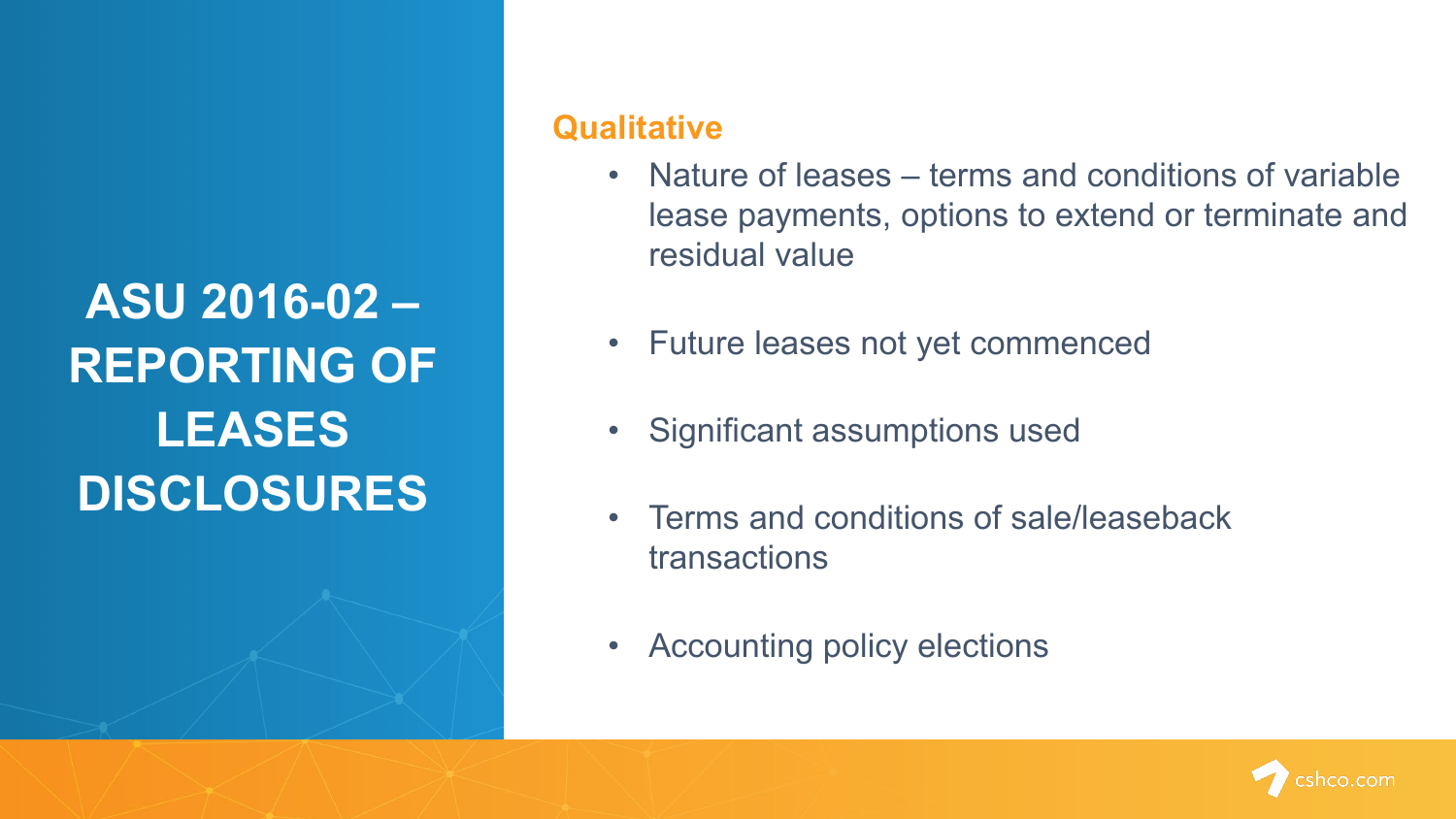## **ASU 2016-02 – REPORTING OF LEASES DISCLOSURES**

#### **Qualitative**

- Nature of leases terms and conditions of variable lease payments, options to extend or terminate and residual value
- Future leases not yet commenced
- Significant assumptions used
- Terms and conditions of sale/leaseback transactions
- Accounting policy elections

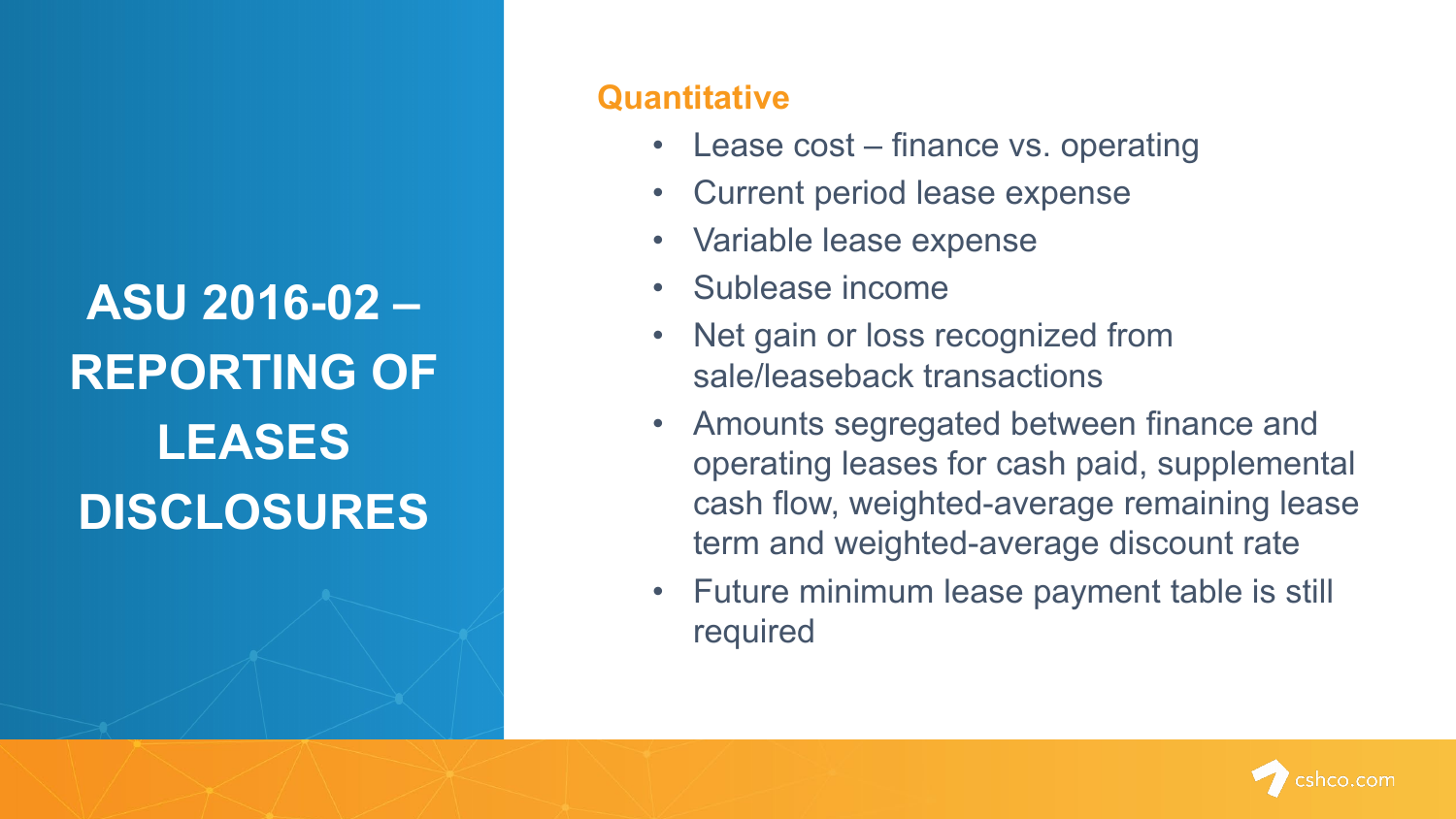# **ASU 2016-02 – REPORTING OF LEASES DISCLOSURES**

### **Quantitative**

- Lease cost finance vs. operating
- Current period lease expense
- Variable lease expense
- Sublease income
- Net gain or loss recognized from sale/leaseback transactions
- Amounts segregated between finance and operating leases for cash paid, supplemental cash flow, weighted-average remaining lease term and weighted-average discount rate
- Future minimum lease payment table is still required

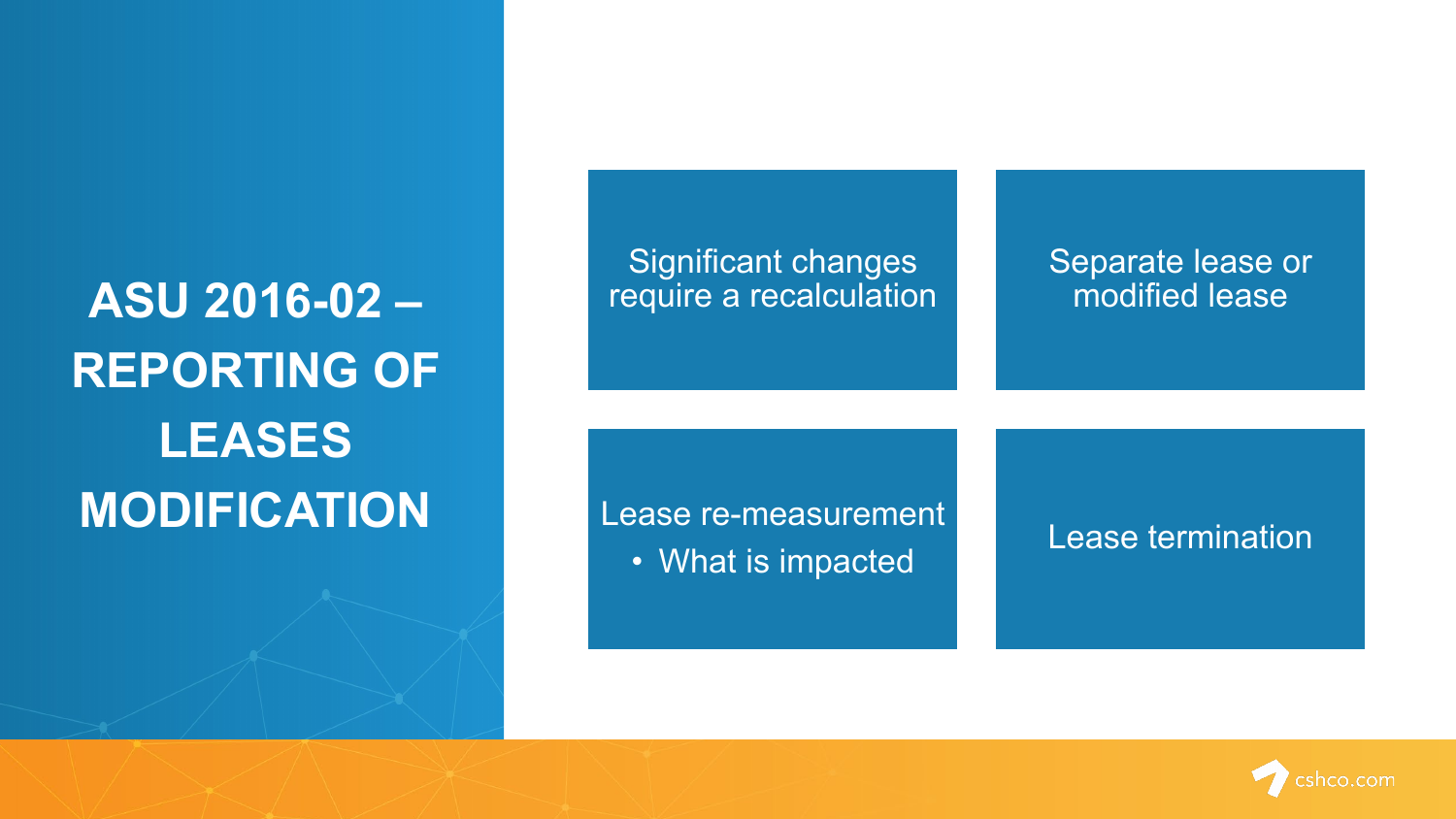# **ASU 2016-02 – REPORTING OF LEASES MODIFICATION**



#### Separate lease or modified lease

Lease re-measurement • What is impacted Lease termination

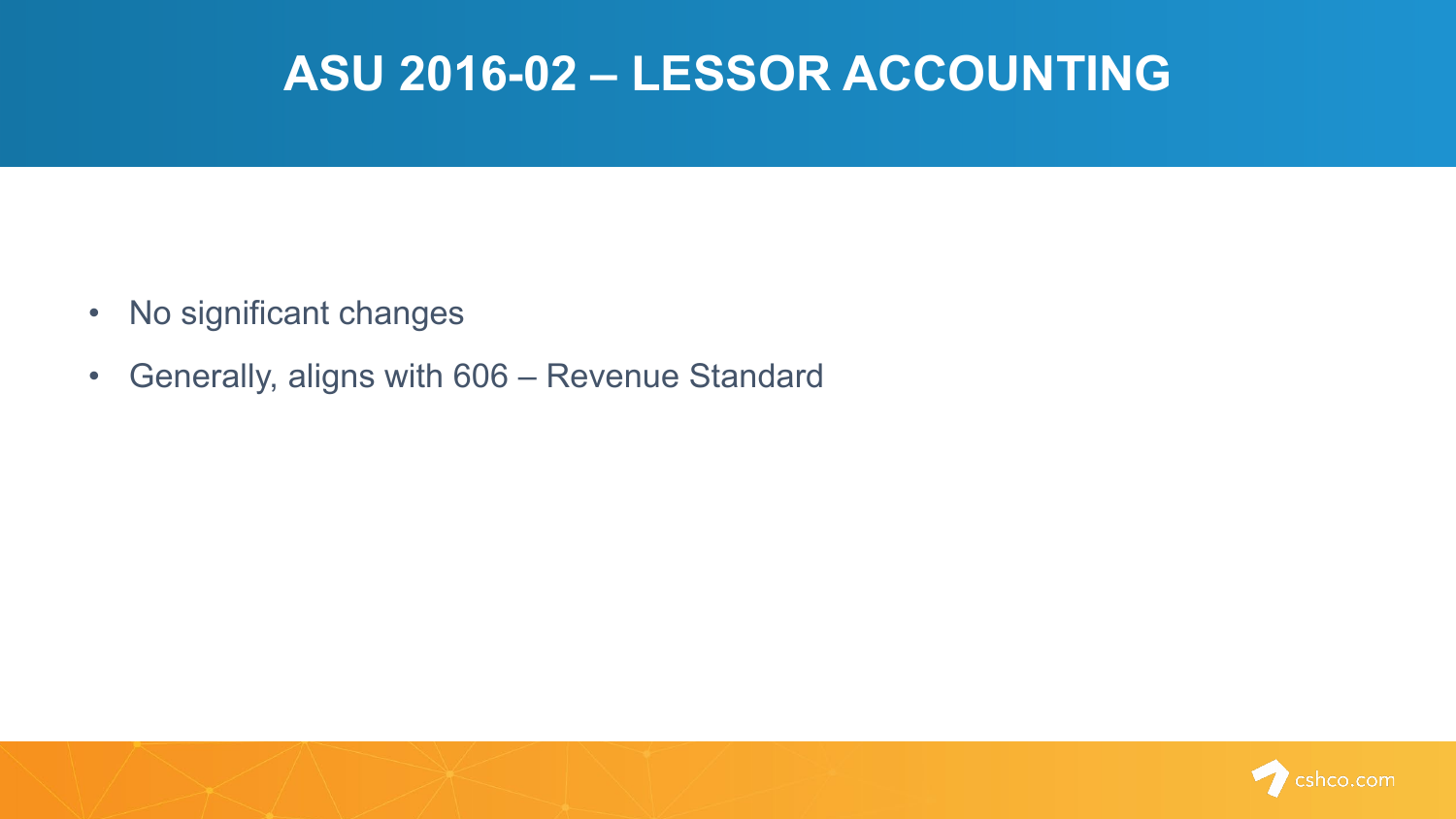## **ASU 2016-02 – LESSOR ACCOUNTING**

- No significant changes
- Generally, aligns with 606 Revenue Standard

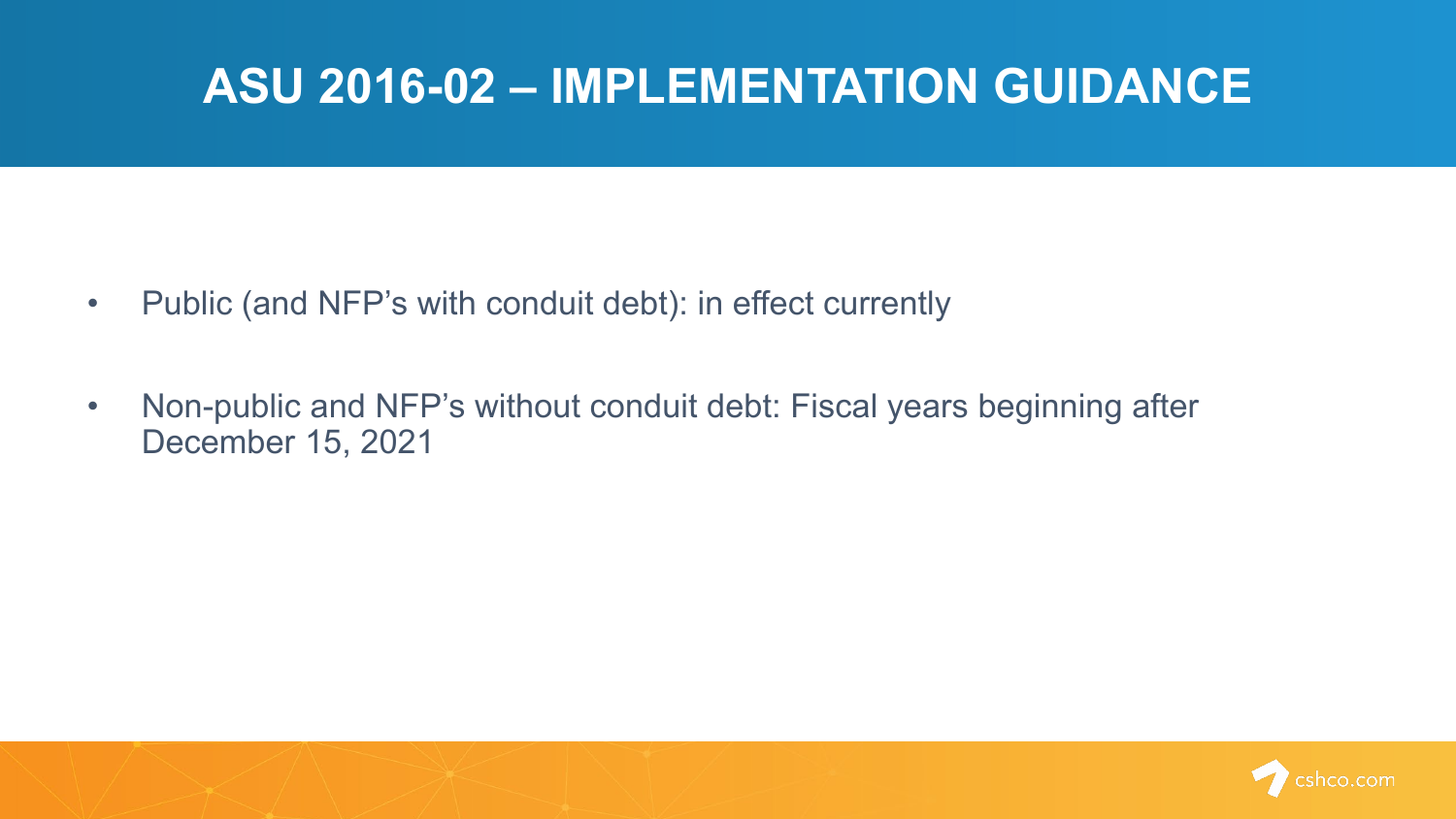## **ASU 2016-02 – IMPLEMENTATION GUIDANCE**

- Public (and NFP's with conduit debt): in effect currently
- Non-public and NFP's without conduit debt: Fiscal years beginning after December 15, 2021

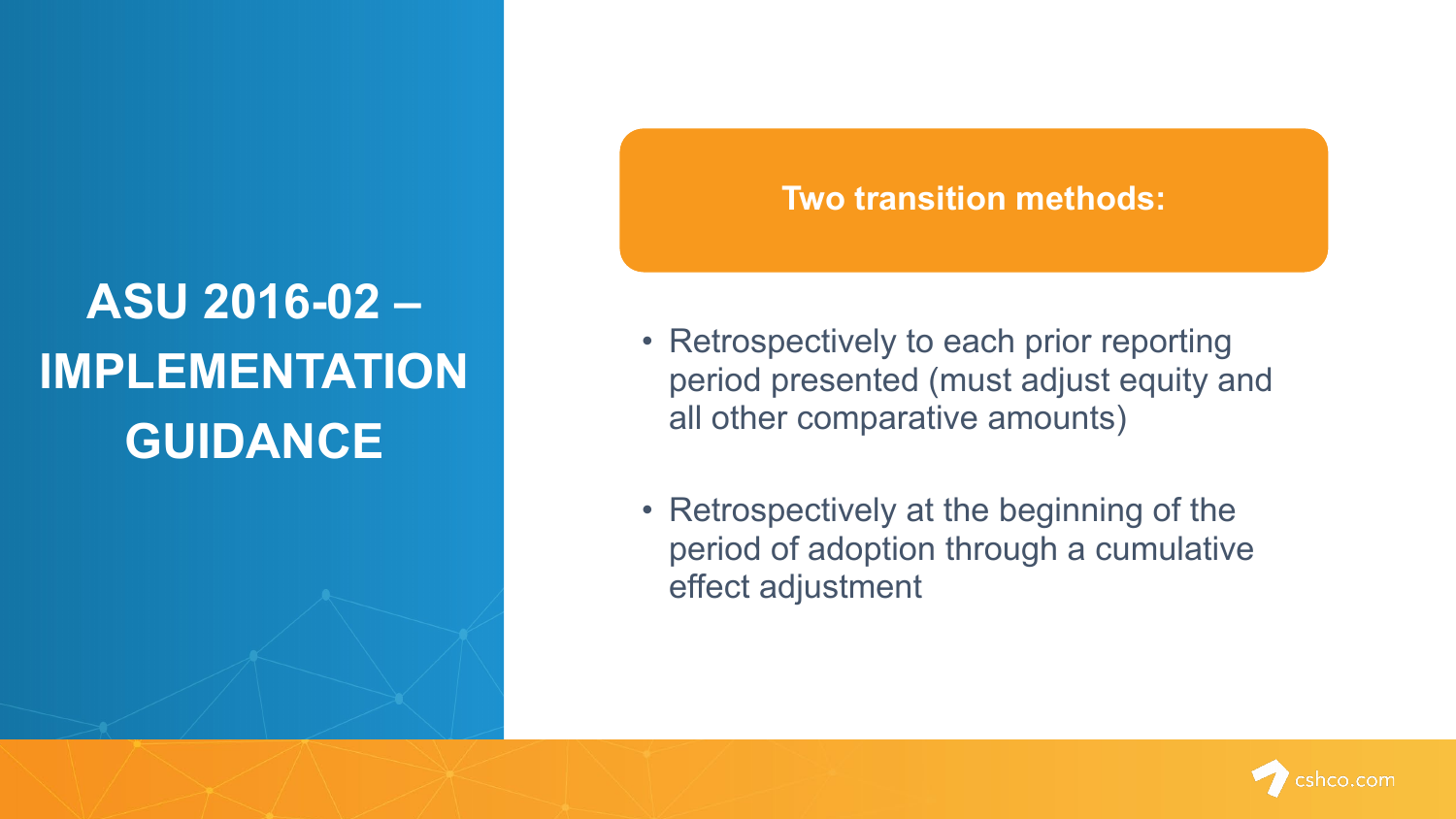# **ASU 2016-02 – IMPLEMENTATION GUIDANCE**

#### **Two transition methods:**

- Retrospectively to each prior reporting period presented (must adjust equity and all other comparative amounts)
- Retrospectively at the beginning of the period of adoption through a cumulative effect adjustment

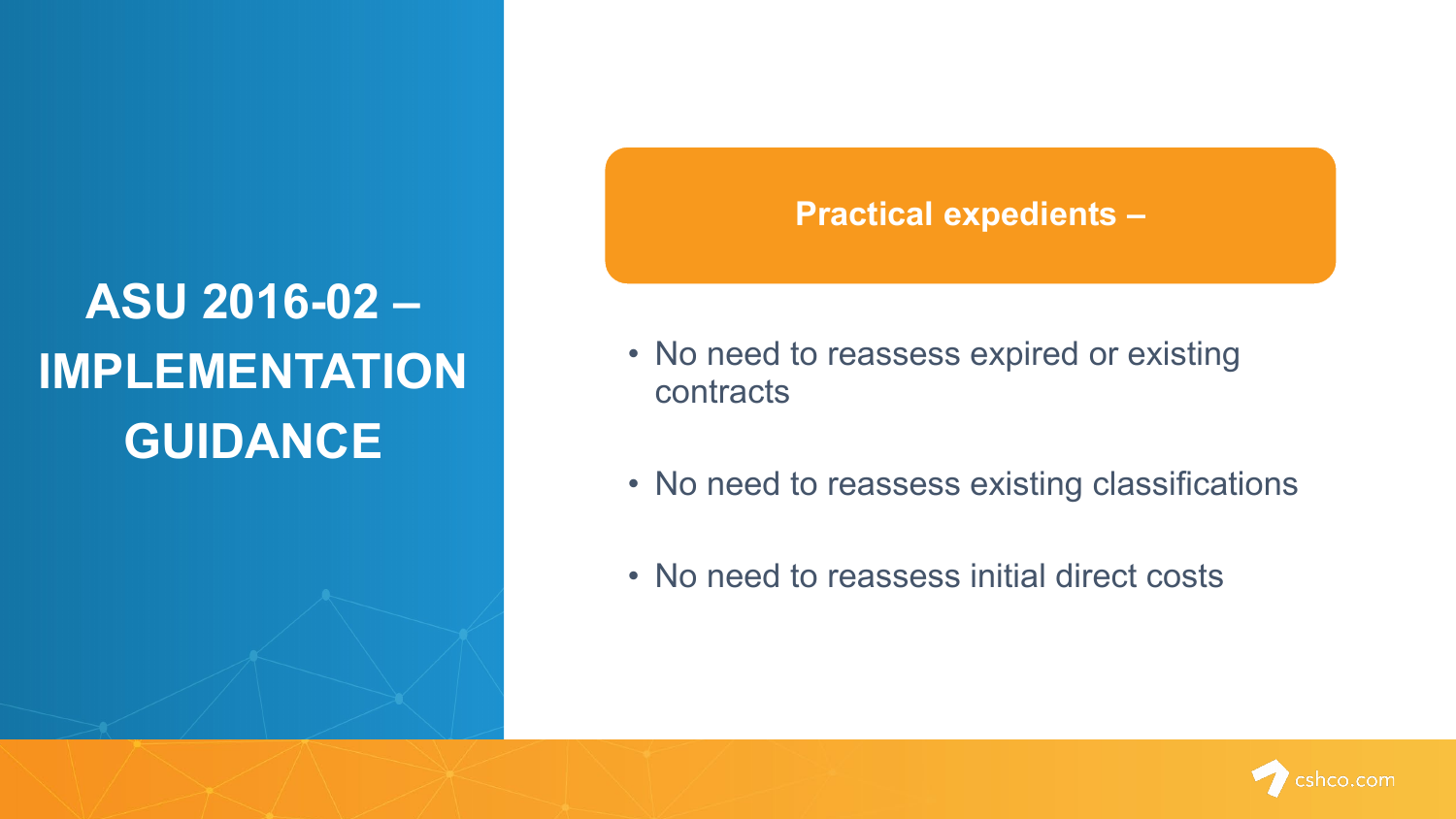# **ASU 2016-02 – IMPLEMENTATION GUIDANCE**

#### **Practical expedients –**

- No need to reassess expired or existing contracts
- No need to reassess existing classifications
- No need to reassess initial direct costs

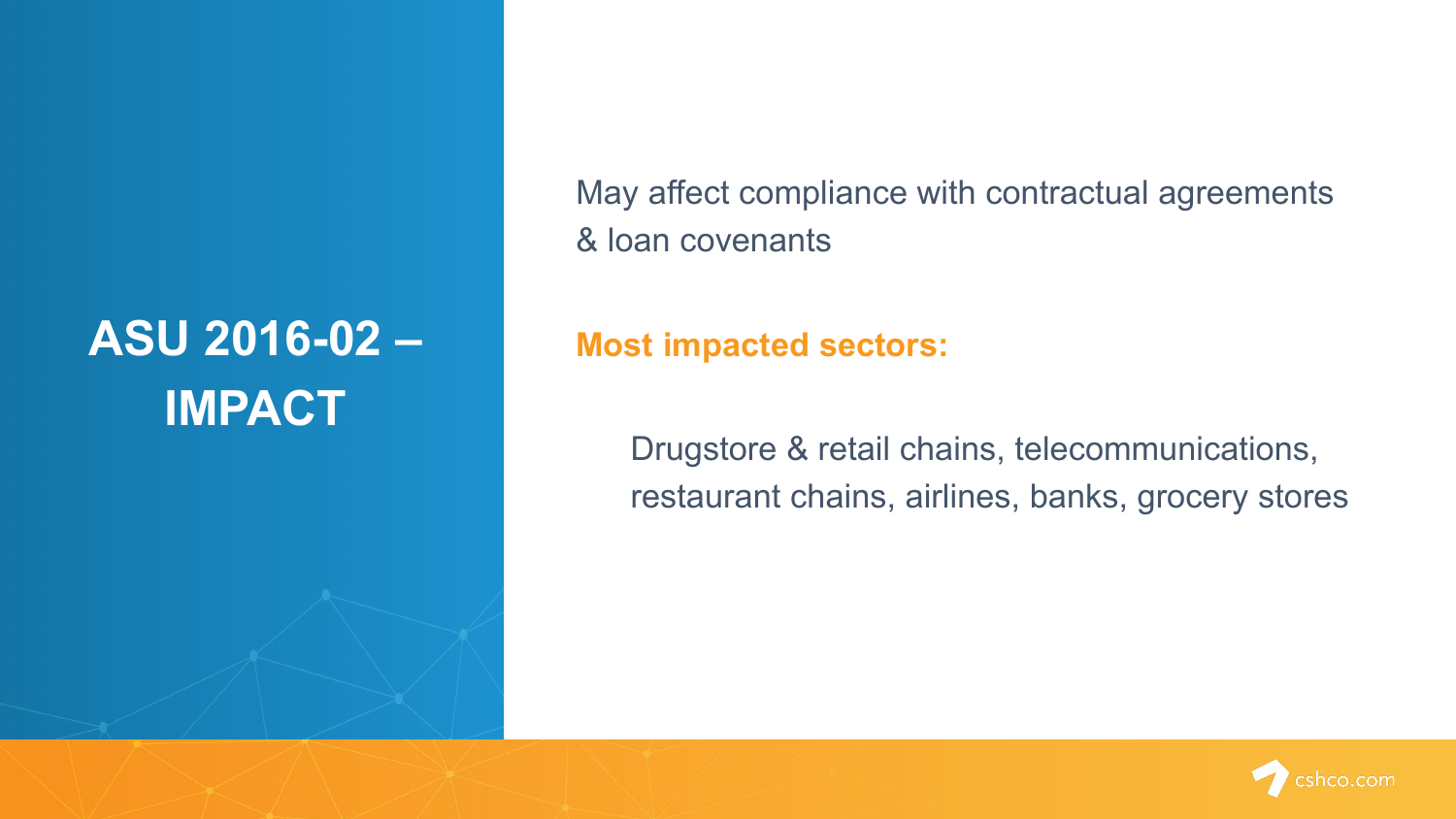## **ASU 2016-02 – IMPACT**

May affect compliance with contractual agreements & loan covenants

#### **Most impacted sectors:**

Drugstore & retail chains, telecommunications, restaurant chains, airlines, banks, grocery stores